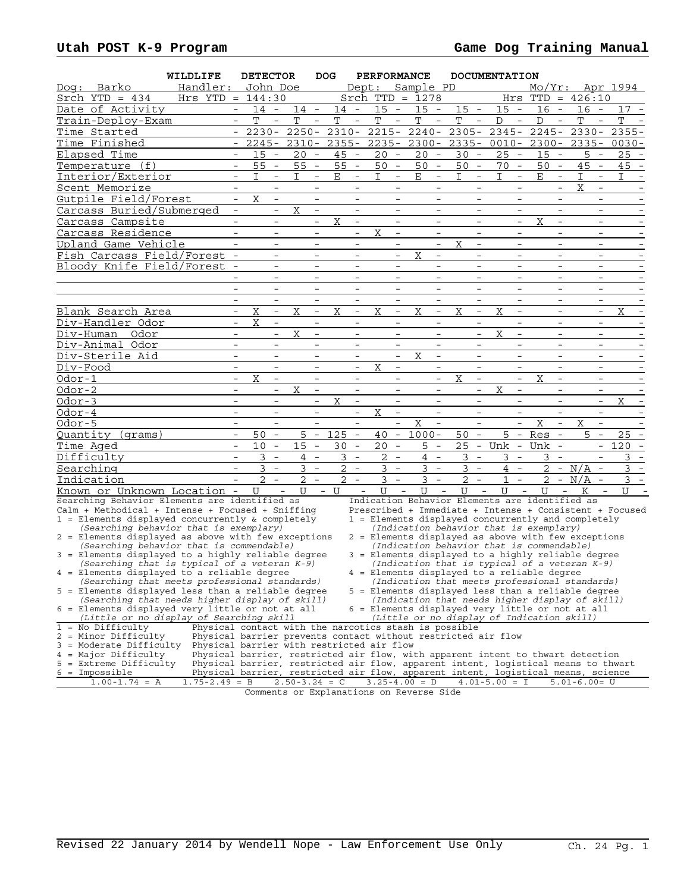|          |                                                                                                    | WILDLIFE                                  |                                            | <b>DETECTOR</b> |                                      |                | DOG.<br><b>PERFORMANCE</b>           |                      |                                      |              |                                      | <b>DOCUMENTATION</b>                                                                                                                                                    |                               |                                      |                   |                                           |                 |                                      |                                       |                                                         |
|----------|----------------------------------------------------------------------------------------------------|-------------------------------------------|--------------------------------------------|-----------------|--------------------------------------|----------------|--------------------------------------|----------------------|--------------------------------------|--------------|--------------------------------------|-------------------------------------------------------------------------------------------------------------------------------------------------------------------------|-------------------------------|--------------------------------------|-------------------|-------------------------------------------|-----------------|--------------------------------------|---------------------------------------|---------------------------------------------------------|
| : Doq    | Barko                                                                                              | Handler:                                  |                                            | John Doe        |                                      |                |                                      |                      |                                      | Dept:        |                                      | Sample PD                                                                                                                                                               |                               |                                      |                   |                                           | $Mo/Yr$ :       |                                      |                                       | Apr 1994                                                |
|          | Srch $YTD = 434$                                                                                   | $Hrs$ YTD = $144:30$                      |                                            |                 |                                      |                |                                      |                      |                                      |              |                                      | Srch $TTD = 1278$                                                                                                                                                       |                               |                                      |                   |                                           | Hrs TTD         |                                      | $= 426:10$                            |                                                         |
|          | Date of Activity                                                                                   |                                           | $ \,$                                      | $14 -$          |                                      | $14 -$         |                                      | $14 -$               |                                      | $15 -$       |                                      | $15 -$                                                                                                                                                                  | $15 -$                        |                                      | $15 -$            |                                           | $16 -$          |                                      | 16 -                                  | $17 -$                                                  |
|          | Train-Deploy-Exam                                                                                  |                                           |                                            | $\mathbf T$     |                                      | T              |                                      | T                    |                                      | T            |                                      | T                                                                                                                                                                       | T                             |                                      | D                 |                                           | $\mathbb D$     |                                      | T                                     | T                                                       |
|          | Time Started                                                                                       |                                           | $\overline{\phantom{a}}$                   | $2230 -$        |                                      | $2250 -$       |                                      | $2310 -$             |                                      | $2215 -$     |                                      | $2240 -$                                                                                                                                                                | $2305 -$                      |                                      | $2345 -$          |                                           | $2245 -$        |                                      | $2330 -$                              | $2355 -$                                                |
|          | Time Finished                                                                                      |                                           |                                            | $2245 -$        |                                      | $2310 -$       |                                      | $2355 -$             |                                      |              |                                      | $2235 - 2300 -$                                                                                                                                                         | $2335 -$                      |                                      |                   |                                           | $0010 - 2300 -$ |                                      |                                       | $2335 - 0030 -$                                         |
|          | Elapsed Time                                                                                       |                                           |                                            | 15              | $\overline{\phantom{a}}$             | 20             | $\overline{\phantom{a}}$             | 45<br>$\sim$         |                                      | 20           | $\overline{\phantom{a}}$             | 20<br>$\overline{\phantom{a}}$                                                                                                                                          | 30                            | $\overline{\phantom{a}}$             | 25                | $\overline{\phantom{a}}$                  | 15              | $\overline{\phantom{a}}$             | 5<br>$\overline{\phantom{a}}$         | $25 -$                                                  |
|          | Temperature (f)                                                                                    |                                           | $\overline{\phantom{a}}$                   | 55              | $\overline{\phantom{a}}$             | $55 -$         |                                      | 55                   | $\overline{\phantom{a}}$             | 50           | $\sim$                               | 50<br>$\sim$                                                                                                                                                            | 50                            | $\overline{\phantom{a}}$             | 70                | $\sim$                                    | 50              | $\overline{\phantom{a}}$             | 45<br>$\overline{\phantom{a}}$        | $45 -$                                                  |
|          | Interior/Exterior                                                                                  |                                           | $\overline{\phantom{0}}$                   | T.              | $-$                                  | T.             | $\overline{\phantom{a}}$             | $\mathbf E$          | $\overline{\phantom{a}}$             | T.           | $\overline{\phantom{a}}$             | E<br>$\overline{\phantom{a}}$                                                                                                                                           | T.                            | $\overline{\phantom{a}}$             | T.                | $\overline{\phantom{a}}$                  | $\mathbf E$     | $\overline{\phantom{a}}$             | I<br>$\overline{\phantom{a}}$         | T.                                                      |
|          | Scent Memorize                                                                                     |                                           |                                            |                 |                                      |                |                                      |                      |                                      |              |                                      |                                                                                                                                                                         |                               |                                      |                   |                                           |                 |                                      | X                                     |                                                         |
|          | Gutpile Field/Forest                                                                               |                                           | $\overline{\phantom{a}}$                   | X               | $\overline{\phantom{a}}$             |                | $\overline{\phantom{a}}$             |                      | $\overline{\phantom{a}}$             |              | $\qquad \qquad -$                    | $\overline{\phantom{a}}$                                                                                                                                                |                               | $-$                                  |                   | $\overline{\phantom{a}}$                  |                 | $\overline{\phantom{a}}$             | $-$                                   |                                                         |
|          | Carcass Buried/Submerged                                                                           |                                           | $\overline{\phantom{a}}$                   |                 | $\overline{\phantom{a}}$             | X              | $\overline{\phantom{a}}$             |                      | $\overline{\phantom{0}}$             |              | $\overline{\phantom{a}}$             |                                                                                                                                                                         |                               | $\overline{\phantom{a}}$             |                   | $\overline{\phantom{0}}$                  |                 | $\overline{\phantom{a}}$             | $\overline{\phantom{a}}$              |                                                         |
|          | Carcass Campsite                                                                                   |                                           |                                            |                 |                                      |                | $\overline{\phantom{a}}$             | Χ                    | $\overline{\phantom{a}}$             |              | $\overline{\phantom{a}}$             |                                                                                                                                                                         |                               | $\overline{\phantom{a}}$             |                   | $\overline{\phantom{a}}$                  | Χ               | $\overline{\phantom{a}}$             |                                       |                                                         |
|          | Carcass Residence                                                                                  |                                           |                                            |                 | $\overline{\phantom{a}}$             |                | $\overline{\phantom{a}}$             |                      | $\qquad \qquad -$                    | X            | $\overline{\phantom{a}}$             | $\overline{\phantom{a}}$                                                                                                                                                |                               | $\overline{\phantom{a}}$             |                   | $\overline{\phantom{a}}$                  |                 | $\overline{\phantom{a}}$             | $\overline{\phantom{a}}$              |                                                         |
|          | Upland Game Vehicle                                                                                |                                           |                                            |                 |                                      |                | $\overline{\phantom{a}}$             |                      | $\overline{\phantom{0}}$             |              | $\overline{\phantom{a}}$             | $\overline{\phantom{a}}$                                                                                                                                                | Χ                             | $\overline{\phantom{a}}$             |                   | $\overline{\phantom{0}}$                  |                 | $\overline{\phantom{0}}$             | $\overline{\phantom{a}}$              |                                                         |
|          | Fish Carcass Field/Forest -                                                                        |                                           |                                            |                 | $\overline{\phantom{0}}$             |                | $\overline{\phantom{0}}$             |                      | $\overline{\phantom{0}}$             |              | $\overline{\phantom{a}}$             | Χ<br>$\overline{\phantom{a}}$                                                                                                                                           |                               | $\overline{\phantom{a}}$             |                   | $\overline{\phantom{a}}$                  |                 | $\overline{\phantom{0}}$             | $\overline{\phantom{a}}$              |                                                         |
|          | Bloody Knife Field/Forest -                                                                        |                                           |                                            |                 | $\overline{\phantom{a}}$             |                | $\overline{\phantom{a}}$             |                      | $\overline{\phantom{a}}$             |              | $\overline{\phantom{a}}$             | $\overline{\phantom{a}}$                                                                                                                                                |                               | $\overline{\phantom{a}}$             |                   | $\overline{\phantom{a}}$                  |                 | $\overline{\phantom{a}}$             | $\overline{\phantom{a}}$              |                                                         |
|          |                                                                                                    |                                           |                                            |                 | $\overline{\phantom{0}}$             |                | $\overline{\phantom{a}}$             |                      | $\overline{\phantom{0}}$             |              | $\overline{\phantom{a}}$             | $\overline{\phantom{0}}$                                                                                                                                                |                               | $\overline{\phantom{a}}$             |                   | $\overline{\phantom{0}}$                  |                 | $\overline{\phantom{0}}$             | $\overline{\phantom{a}}$              |                                                         |
|          |                                                                                                    |                                           |                                            |                 |                                      |                | $\overline{\phantom{0}}$             |                      | $\overline{\phantom{0}}$             |              | $\overline{\phantom{a}}$             | $\overline{a}$                                                                                                                                                          |                               | $\overline{\phantom{a}}$             |                   | $\equiv$                                  |                 | $\overline{\phantom{0}}$             | $\overline{\phantom{a}}$              |                                                         |
|          |                                                                                                    |                                           | $\overline{\phantom{a}}$                   |                 | $\overline{\phantom{a}}$             |                | $\overline{\phantom{a}}$             |                      | $\overline{\phantom{a}}$             |              | $\overline{\phantom{a}}$             | $\overline{\phantom{a}}$                                                                                                                                                |                               | $\overline{\phantom{a}}$             |                   | $\overline{\phantom{a}}$                  |                 | $\overline{\phantom{a}}$             | $\overline{\phantom{a}}$              |                                                         |
|          | Blank Search Area                                                                                  |                                           | $\overline{\phantom{a}}$                   | X               | $\overline{\phantom{a}}$             | X              | $\overline{\phantom{a}}$             | Χ                    | $\overline{\phantom{a}}$             | Χ            | $\overline{\phantom{a}}$             | Χ<br>$\overline{\phantom{a}}$                                                                                                                                           | Χ                             | $\overline{\phantom{a}}$             | Χ                 | $\overline{\phantom{a}}$                  |                 | $\overline{\phantom{a}}$             | $\overline{\phantom{a}}$              | X<br>$\overline{\phantom{a}}$                           |
|          | Div-Handler Odor                                                                                   |                                           | $\overline{\phantom{a}}$                   | $\mathbf X$     | $\overline{\phantom{0}}$             |                | $\overline{\phantom{0}}$             |                      | $\overline{\phantom{0}}$             |              | $\overline{\phantom{a}}$             | $\overline{\phantom{a}}$                                                                                                                                                |                               | $\overline{\phantom{0}}$             |                   | $\overline{\phantom{a}}$                  |                 | $\overline{\phantom{0}}$             | $\overline{\phantom{0}}$              |                                                         |
|          | Div-Human<br>Odor                                                                                  |                                           | $\overline{\phantom{0}}$                   |                 | $\overline{\phantom{0}}$             | X              | $\overline{\phantom{a}}$             |                      | $\overline{\phantom{0}}$             |              | $\overline{\phantom{a}}$             | $\overline{\phantom{a}}$                                                                                                                                                |                               | $\overline{\phantom{a}}$             | Χ                 | $\overline{\phantom{a}}$                  |                 | $\overline{\phantom{a}}$             | $\overline{\phantom{0}}$              |                                                         |
|          | Div-Animal Odor                                                                                    |                                           | $\overline{\phantom{a}}$                   |                 | $\overline{\phantom{a}}$             |                | $\overline{\phantom{a}}$             |                      | $\overline{\phantom{a}}$             |              | $\overline{\phantom{a}}$             | $\overline{\phantom{a}}$                                                                                                                                                |                               | $\overline{\phantom{a}}$             |                   | $\overline{\phantom{a}}$                  |                 | $\overline{\phantom{a}}$             | $\overline{\phantom{a}}$              |                                                         |
|          |                                                                                                    |                                           | $\overline{\phantom{a}}$                   |                 | $\overline{\phantom{0}}$             |                | $\overline{\phantom{a}}$             |                      | $\overline{\phantom{a}}$             |              | $\overline{\phantom{a}}$             | $\mathbf X$<br>$\overline{\phantom{a}}$                                                                                                                                 |                               | $\overline{\phantom{0}}$             |                   | $\overline{\phantom{a}}$                  |                 | $\overline{\phantom{0}}$             | $\overline{\phantom{0}}$              |                                                         |
|          | Div-Sterile Aid                                                                                    |                                           |                                            |                 |                                      |                |                                      |                      |                                      |              |                                      |                                                                                                                                                                         |                               |                                      |                   |                                           |                 |                                      |                                       |                                                         |
| Div-Food |                                                                                                    |                                           | $\overline{\phantom{a}}$                   |                 | $\qquad \qquad -$                    |                | $\overline{\phantom{a}}$             |                      | $\overline{\phantom{a}}$             | Χ            | $\overline{\phantom{a}}$             | $\overline{\phantom{0}}$                                                                                                                                                |                               | $\overline{\phantom{a}}$             |                   | $\overline{\phantom{a}}$                  |                 | $\overline{\phantom{a}}$             | $\overline{\phantom{a}}$              |                                                         |
| Odor-1   |                                                                                                    |                                           | $\overline{\phantom{a}}$<br>$\overline{a}$ | X               | $\overline{\phantom{a}}$<br>$\equiv$ |                | $\overline{\phantom{a}}$<br>$\equiv$ |                      | $\overline{\phantom{a}}$<br>$\equiv$ |              | $\overline{\phantom{a}}$<br>$\equiv$ | $\overline{\phantom{a}}$<br>$\overline{a}$                                                                                                                              | X                             | $\overline{\phantom{a}}$<br>$\equiv$ |                   | $\overline{\phantom{a}}$<br>$\equiv$      | X               | $\overline{\phantom{a}}$<br>$\equiv$ | $\overline{\phantom{a}}$<br>$\equiv$  |                                                         |
| Odor-2   |                                                                                                    |                                           |                                            |                 |                                      | X              |                                      |                      |                                      |              |                                      |                                                                                                                                                                         |                               |                                      | X                 |                                           |                 |                                      |                                       |                                                         |
| $0dor-3$ |                                                                                                    |                                           |                                            |                 | $\overline{\phantom{0}}$             |                | $\overline{\phantom{a}}$             | Χ                    | $\overline{\phantom{a}}$             |              | $\overline{\phantom{a}}$             | $\overline{\phantom{a}}$                                                                                                                                                |                               | $\overline{\phantom{a}}$             |                   | $\overline{\phantom{a}}$                  |                 | $\overline{\phantom{a}}$             | $\overline{\phantom{a}}$              | Χ                                                       |
| Odor-4   |                                                                                                    |                                           | $\overline{\phantom{a}}$                   |                 |                                      |                | $\overline{\phantom{m}}$             |                      | $\overline{\phantom{a}}$             | X            | $\overline{\phantom{a}}$<br>$\equiv$ | $\overline{\phantom{a}}$                                                                                                                                                |                               | $\overline{\phantom{a}}$             |                   | $\overline{\phantom{a}}$<br>$\frac{1}{2}$ |                 |                                      | $\overline{\phantom{a}}$              |                                                         |
| Odor-5   |                                                                                                    |                                           | $\equiv$                                   |                 | $\overline{a}$                       |                | $\overline{a}$                       |                      | $\overline{a}$                       |              |                                      | X<br>$\equiv$                                                                                                                                                           |                               | $\frac{1}{2}$                        |                   |                                           | X               | $\overline{\phantom{0}}$             | $\equiv$<br>X                         |                                                         |
|          | Quantity (grams)                                                                                   |                                           | $\overline{\phantom{a}}$                   | 50              | $\overline{\phantom{a}}$             | 5              | $\overline{\phantom{a}}$             | 125                  | $\overline{\phantom{a}}$             | 40           | $\overline{\phantom{a}}$             | $1000 -$                                                                                                                                                                | 50                            | $\overline{\phantom{a}}$             | 5                 | $\overline{\phantom{a}}$                  | $Res -$         |                                      | 5<br>$\overline{\phantom{a}}$         | 25                                                      |
|          | Time Aged                                                                                          |                                           | $\overline{\phantom{a}}$                   | 10              | $\overline{\phantom{a}}$             | 15             | $\overline{\phantom{a}}$             | 30<br>$\overline{a}$ |                                      | 20           | $\overline{a}$                       | 5<br>$\sim$ $-$                                                                                                                                                         | 25                            | $\sim$                               | Unk -             |                                           | Unk -           |                                      | $-$                                   | $120 -$                                                 |
|          | Difficulty                                                                                         |                                           | $\equiv$                                   | 3               | $\equiv$                             | $\overline{4}$ | $\equiv$                             | 3                    | $\equiv$                             | 2            | $\equiv$                             | $4 -$                                                                                                                                                                   | 3                             | $\equiv$                             | 3                 | $\sim$                                    | 3               | $\overline{\phantom{a}}$             | $\equiv$                              | 3                                                       |
|          | Searching                                                                                          |                                           | $\overline{\phantom{a}}$                   | $3 -$           |                                      | 3              | $\overline{\phantom{a}}$             | 2                    | $\overline{\phantom{a}}$             | 3            | $\overline{\phantom{a}}$             | 3<br>$\hspace{0.1mm}-\hspace{0.1mm}$                                                                                                                                    | 3                             | $\overline{\phantom{a}}$             |                   | $4 -$                                     |                 |                                      | $2 - N/A$<br>$\overline{\phantom{a}}$ | 3                                                       |
|          | Indication                                                                                         |                                           |                                            | $\overline{2}$  |                                      | 2              |                                      | $\overline{2}$       | $\overline{\phantom{a}}$             | 3            | $\overline{\phantom{a}}$             | 3<br>$\overline{\phantom{a}}$                                                                                                                                           | 2                             | $\overline{\phantom{a}}$             | 1                 | $\overline{\phantom{a}}$                  | $\overline{2}$  | $ \,$                                | N/A                                   | 3                                                       |
|          | <u>Known or Unknown Location -</u>                                                                 |                                           |                                            | U               | $\sim$                               | $\mathbf{U}$   |                                      | $-$ U                | $\overline{\phantom{0}}$             | $\mathbf{U}$ | $\equiv$                             | ŢŢ                                                                                                                                                                      | U<br>$\overline{\phantom{a}}$ | $\equiv$                             | ŢŢ                | $\equiv$                                  | ŢŢ              | $\overline{\phantom{a}}$             | K                                     | $\equiv$<br>ΤT                                          |
|          | Searching Behavior Elements are identified as<br>Calm + Methodical + Intense + Focused + Sniffing  |                                           |                                            |                 |                                      |                |                                      |                      |                                      |              |                                      | Indication Behavior Elements are identified as                                                                                                                          |                               |                                      |                   |                                           |                 |                                      |                                       | Prescribed + Immediate + Intense + Consistent + Focused |
|          | 1 = Elements displayed concurrently & completely                                                   |                                           |                                            |                 |                                      |                |                                      |                      |                                      |              |                                      | 1 = Elements displayed concurrently and completely                                                                                                                      |                               |                                      |                   |                                           |                 |                                      |                                       |                                                         |
|          | (Searching behavior that is exemplary)                                                             |                                           |                                            |                 |                                      |                |                                      |                      |                                      |              |                                      | (Indication behavior that is exemplary)                                                                                                                                 |                               |                                      |                   |                                           |                 |                                      |                                       |                                                         |
|          | 2 = Elements displayed as above with few exceptions                                                |                                           |                                            |                 |                                      |                |                                      |                      |                                      |              |                                      | 2 = Elements displayed as above with few exceptions                                                                                                                     |                               |                                      |                   |                                           |                 |                                      |                                       |                                                         |
|          | (Searching behavior that is commendable)                                                           |                                           |                                            |                 |                                      |                |                                      |                      |                                      |              |                                      | (Indication behavior that is commendable)                                                                                                                               |                               |                                      |                   |                                           |                 |                                      |                                       |                                                         |
|          | 3 = Elements displayed to a highly reliable degree<br>(Searching that is typical of a veteran K-9) |                                           |                                            |                 |                                      |                |                                      |                      |                                      |              |                                      | 3 = Elements displayed to a highly reliable degree<br>(Indication that is typical of a veteran K-9)                                                                     |                               |                                      |                   |                                           |                 |                                      |                                       |                                                         |
|          | 4 = Elements displayed to a reliable degree                                                        |                                           |                                            |                 |                                      |                |                                      |                      |                                      |              |                                      | = Elements displayed to a reliable degree                                                                                                                               |                               |                                      |                   |                                           |                 |                                      |                                       |                                                         |
|          | (Searching that meets professional standards)                                                      |                                           |                                            |                 |                                      |                |                                      |                      |                                      |              |                                      | (Indication that meets professional standards)                                                                                                                          |                               |                                      |                   |                                           |                 |                                      |                                       |                                                         |
|          | 5 = Elements displayed less than a reliable degree                                                 |                                           |                                            |                 |                                      |                |                                      |                      |                                      |              |                                      | 5 = Elements displayed less than a reliable degree                                                                                                                      |                               |                                      |                   |                                           |                 |                                      |                                       |                                                         |
|          | (Searching that needs higher display of skill)                                                     |                                           |                                            |                 |                                      |                |                                      |                      |                                      |              |                                      | (Indication that needs higher display of skill)<br>6 = Elements displayed very little or not at all                                                                     |                               |                                      |                   |                                           |                 |                                      |                                       |                                                         |
|          | 6 = Elements displayed very little or not at all<br>(Little or no display of Searching skill       |                                           |                                            |                 |                                      |                |                                      |                      |                                      |              |                                      | (Little or no display of Indication skill)                                                                                                                              |                               |                                      |                   |                                           |                 |                                      |                                       |                                                         |
|          | $1 = No$ Difficulty                                                                                |                                           |                                            |                 |                                      |                |                                      |                      |                                      |              |                                      | Physical contact with the narcotics stash is possible                                                                                                                   |                               |                                      |                   |                                           |                 |                                      |                                       |                                                         |
|          | 2 = Minor Difficulty                                                                               |                                           |                                            |                 |                                      |                |                                      |                      |                                      |              |                                      | Physical barrier prevents contact without restricted air flow                                                                                                           |                               |                                      |                   |                                           |                 |                                      |                                       |                                                         |
|          | 3 = Moderate Difficulty                                                                            | Physical barrier with restricted air flow |                                            |                 |                                      |                |                                      |                      |                                      |              |                                      |                                                                                                                                                                         |                               |                                      |                   |                                           |                 |                                      |                                       |                                                         |
|          | 4 = Major Difficulty<br>5 = Extreme Difficulty                                                     |                                           |                                            |                 |                                      |                |                                      |                      |                                      |              |                                      | Physical barrier, restricted air flow, with apparent intent to thwart detection                                                                                         |                               |                                      |                   |                                           |                 |                                      |                                       |                                                         |
|          | $6 = \text{Impossible}$                                                                            |                                           |                                            |                 |                                      |                |                                      |                      |                                      |              |                                      | Physical barrier, restricted air flow, apparent intent, logistical means to thwart<br>Physical barrier, restricted air flow, apparent intent, logistical means, science |                               |                                      |                   |                                           |                 |                                      |                                       |                                                         |
|          | $1.00 - 1.74 = A$                                                                                  | $1.75 - 2.49 = B$                         |                                            |                 |                                      |                |                                      | $2.50 - 3.24 = C$    |                                      |              |                                      | $3.25 - 4.00 = D$                                                                                                                                                       |                               |                                      | $4.01 - 5.00 = I$ |                                           |                 |                                      | $5.01 - 6.00 = U$                     |                                                         |

Comments or Explanations on Reverse Side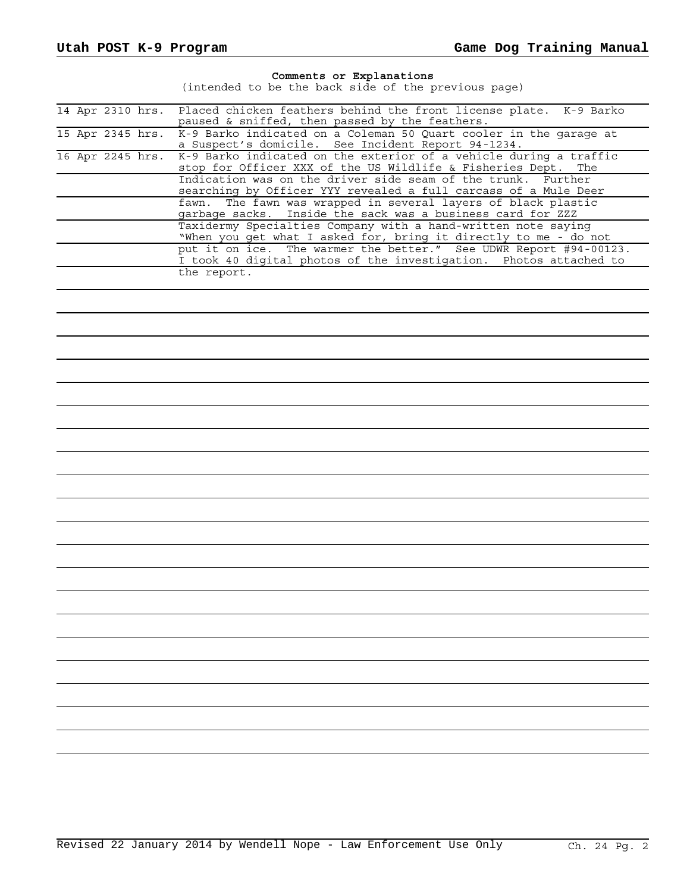## **Comments or Explanations**

(intended to be the back side of the previous page)

|  | 14 Apr 2310 hrs. | Placed chicken feathers behind the front license plate. K-9 Barko<br>paused & sniffed, then passed by the feathers.                   |
|--|------------------|---------------------------------------------------------------------------------------------------------------------------------------|
|  | 15 Apr 2345 hrs. | K-9 Barko indicated on a Coleman 50 Quart cooler in the garage at<br>a Suspect's domicile. See Incident Report 94-1234.               |
|  | 16 Apr 2245 hrs. | K-9 Barko indicated on the exterior of a vehicle during a traffic<br>The                                                              |
|  |                  | stop for Officer XXX of the US Wildlife & Fisheries Dept.<br>Indication was on the driver side seam of the trunk. Further             |
|  |                  | searching by Officer YYY revealed a full carcass of a Mule Deer<br>fawn. The fawn was wrapped in several layers of black plastic      |
|  |                  | garbage sacks. Inside the sack was a business card for ZZZ<br>Taxidermy Specialties Company with a hand-written note saying           |
|  |                  | "When you get what I asked for, bring it directly to me - do not<br>put it on ice. The warmer the better." See UDWR Report #94-00123. |
|  |                  | I took 40 digital photos of the investigation. Photos attached to                                                                     |
|  |                  | the report.                                                                                                                           |
|  |                  |                                                                                                                                       |
|  |                  |                                                                                                                                       |
|  |                  |                                                                                                                                       |
|  |                  |                                                                                                                                       |
|  |                  |                                                                                                                                       |
|  |                  |                                                                                                                                       |
|  |                  |                                                                                                                                       |
|  |                  |                                                                                                                                       |
|  |                  |                                                                                                                                       |
|  |                  |                                                                                                                                       |
|  |                  |                                                                                                                                       |
|  |                  |                                                                                                                                       |
|  |                  |                                                                                                                                       |
|  |                  |                                                                                                                                       |
|  |                  |                                                                                                                                       |
|  |                  |                                                                                                                                       |
|  |                  |                                                                                                                                       |
|  |                  |                                                                                                                                       |
|  |                  |                                                                                                                                       |
|  |                  |                                                                                                                                       |
|  |                  |                                                                                                                                       |
|  |                  |                                                                                                                                       |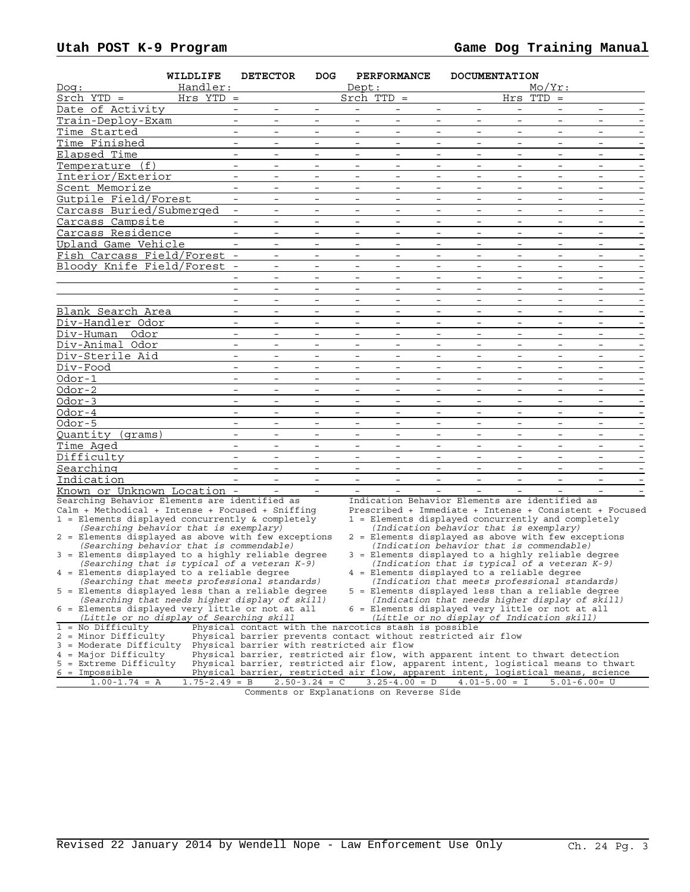| Handler:<br>$Mo/Yr$ :<br>Dept:<br>Dog:<br>$Srch$ YTD =<br>Srch $TTD =$<br>Hrs TTD<br>Hrs YTD =<br>$=$<br>Date of Activity<br>$\overline{\phantom{a}}$<br>$\overline{\phantom{a}}$<br>$\overline{\phantom{a}}$<br>$\qquad \qquad -$<br>$\qquad \qquad -$<br>Train-Deploy-Exam<br>$\overline{\phantom{a}}$<br>$\overline{\phantom{a}}$<br>$\overline{\phantom{0}}$<br>$\overline{\phantom{a}}$<br>$\overline{\phantom{a}}$<br>$\overline{\phantom{a}}$<br>$\overline{\phantom{a}}$<br>$\qquad \qquad -$<br>$\overline{\phantom{a}}$<br>$\overline{\phantom{a}}$<br>$\equiv$<br>$\equiv$<br>$\overline{a}$<br>$\sim$<br>Time Started<br>$\equiv$<br>$\equiv$<br>$\sim$<br>$\equiv$<br>$\equiv$<br>$\overline{\phantom{a}}$<br>Time Finished<br>$\overline{\phantom{a}}$<br>$\overline{\phantom{a}}$<br>$\overline{\phantom{a}}$<br>$\overline{\phantom{a}}$<br>$\overline{\phantom{a}}$<br>$\overline{\phantom{a}}$<br>$\overline{\phantom{a}}$<br>$\overline{\phantom{a}}$<br>$\overline{\phantom{a}}$<br>$\overline{\phantom{a}}$<br>Elapsed Time<br>$\overline{\phantom{a}}$<br>Temperature (f)<br>$-$<br>$\equiv$<br>$\qquad \qquad -$<br>$-$<br>$\overline{\phantom{a}}$<br>$\overline{\phantom{a}}$<br>$\overline{\phantom{0}}$<br>$-$<br>$\overline{\phantom{0}}$<br>$\overline{\phantom{a}}$<br>Interior/Exterior<br>$\overline{\phantom{a}}$<br>$\overline{\phantom{0}}$<br>$\overline{\phantom{a}}$<br>$\overline{\phantom{a}}$<br>$\overline{\phantom{a}}$<br>$\overline{\phantom{0}}$<br>$\overline{\phantom{a}}$<br>$\overline{\phantom{a}}$<br>$\overline{\phantom{0}}$<br>$\overline{\phantom{a}}$<br>Scent Memorize<br>$\overline{\phantom{0}}$<br>$\overline{\phantom{0}}$<br>$\overline{\phantom{0}}$<br>$\overline{\phantom{a}}$<br>$\overline{\phantom{0}}$<br>$\overline{\phantom{a}}$<br>$\overline{\phantom{0}}$<br>Gutpile Field/Forest<br>$-$<br>$\overline{\phantom{a}}$<br>$\overline{\phantom{a}}$<br>$\overline{\phantom{0}}$<br>$\overline{\phantom{a}}$<br>$\overline{\phantom{a}}$<br>$\overline{\phantom{a}}$<br>$\overline{\phantom{a}}$<br>$\overline{\phantom{0}}$<br>$-$<br>Carcass Buried/Submerged<br>$\overline{\phantom{a}}$<br>$\overline{\phantom{a}}$<br>$\overline{\phantom{m}}$<br>$\overline{\phantom{a}}$<br>$\overline{\phantom{a}}$<br>$\overline{\phantom{a}}$<br>$\overline{\phantom{a}}$<br>$\overline{\phantom{a}}$<br>$\overline{\phantom{a}}$<br>$\overline{\phantom{a}}$<br>Carcass Campsite<br>$\overline{\phantom{a}}$<br>$\overline{\phantom{0}}$<br>$\overline{\phantom{a}}$<br>$\overline{\phantom{a}}$<br>$\overline{\phantom{0}}$<br>Carcass Residence<br>$\equiv$<br>$\overline{\phantom{a}}$<br>$-$<br>$\overline{\phantom{a}}$<br>$\overline{\phantom{a}}$<br>$\overline{\phantom{a}}$<br>$\overline{\phantom{a}}$<br>$\overline{\phantom{a}}$<br>$\overline{\phantom{0}}$<br>$-$<br>$\overline{\phantom{a}}$<br>Upland Game Vehicle<br>$\overline{\phantom{a}}$<br>$\overline{\phantom{0}}$<br>$\overline{\phantom{a}}$<br>$\overline{\phantom{0}}$<br>$\overline{\phantom{a}}$<br>$\overline{\phantom{0}}$<br>$\overline{a}$<br>$\overline{\phantom{0}}$<br>Fish Carcass Field/Forest -<br>$\overline{\phantom{a}}$<br>$\overline{\phantom{a}}$<br>$\overline{\phantom{a}}$<br>$\overline{\phantom{a}}$<br>Bloody Knife Field/Forest -<br>$-$<br>$ \,$<br>$\overline{\phantom{a}}$<br>$\overline{\phantom{a}}$<br>$\qquad \qquad -$<br>$-$<br>$-$<br>$\overline{\phantom{a}}$<br>$\overline{\phantom{a}}$<br>$\overline{\phantom{a}}$<br>$\overline{\phantom{a}}$<br>$\overline{\phantom{0}}$<br>$\overline{\phantom{0}}$<br>$\overline{\phantom{0}}$<br>$\overline{\phantom{0}}$<br>$\overline{a}$<br>$\equiv$<br>$\overline{\phantom{0}}$<br>$\overline{\phantom{a}}$<br>$\overline{\phantom{0}}$<br>$\overline{\phantom{a}}$<br>$\overline{\phantom{a}}$<br>$\overline{\phantom{a}}$<br>$\overline{\phantom{a}}$<br>$\overline{\phantom{a}}$<br>$ \,$<br>$\overline{\phantom{a}}$<br>$-$<br>$-$<br>$\overline{\phantom{0}}$<br>$\overline{\phantom{a}}$<br>$\overline{\phantom{a}}$<br>$\overline{\phantom{a}}$<br>$-$<br>$-$<br>$\overline{\phantom{a}}$<br>Blank Search Area<br>$\overline{\phantom{a}}$<br>$\overline{\phantom{a}}$<br>$\overline{\phantom{a}}$<br>$\overline{\phantom{0}}$<br>$\overline{\phantom{a}}$<br>$\overline{\phantom{a}}$<br>$\overline{\phantom{a}}$<br>$\overline{\phantom{a}}$<br>Div-Handler Odor<br>$\overline{\phantom{a}}$<br>$\overline{\phantom{a}}$<br>Div-Human Odor<br>$\overline{\phantom{a}}$<br>$\equiv$<br>$-$<br>$\overline{\phantom{a}}$<br>$\overline{\phantom{a}}$<br>$\overline{\phantom{a}}$<br>$\overline{\phantom{a}}$<br>$\overline{\phantom{a}}$<br>$\overline{\phantom{a}}$<br>$\overline{\phantom{a}}$<br>$\overline{\phantom{a}}$<br>Div-Animal Odor<br>$\equiv$<br>$\overline{\phantom{0}}$<br>$\overline{\phantom{a}}$<br>$\overline{\phantom{a}}$<br>$\overline{\phantom{0}}$<br>$\overline{\phantom{a}}$<br>$\overline{\phantom{a}}$<br>$\overline{\phantom{0}}$<br>$-$<br>$\overline{\phantom{a}}$<br>Div-Sterile Aid<br>$\overline{\phantom{a}}$<br>$\overline{\phantom{a}}$<br>$\overline{\phantom{a}}$<br>$\overline{\phantom{a}}$<br>Div-Food<br>$\overline{\phantom{a}}$<br>$\overline{\phantom{a}}$<br>$\overline{\phantom{a}}$<br>$\overline{\phantom{a}}$<br>$\overline{\phantom{a}}$<br>$\overline{\phantom{0}}$<br>$\overline{\phantom{a}}$<br>$-$<br>$\overline{\phantom{a}}$<br>$\overline{\phantom{a}}$<br>$\overline{\phantom{a}}$<br>Odor-1<br>$\overline{\phantom{a}}$<br>$\overline{\phantom{0}}$<br>$\overline{\phantom{a}}$<br>$\overline{\phantom{0}}$<br>$\overline{\phantom{0}}$<br>$\overline{\phantom{0}}$<br>$\overline{\phantom{a}}$<br>$\overline{\phantom{0}}$<br>$-$<br>Odor-2<br>$\overline{\phantom{a}}$<br>$\overline{\phantom{a}}$<br>$\overline{\phantom{a}}$<br>$\overline{\phantom{a}}$<br>$\overline{\phantom{a}}$<br>$\overline{\phantom{0}}$<br>Odor-3<br>$\overline{\phantom{a}}$<br>$\overline{\phantom{a}}$<br>$-$<br>$-$<br>$\overline{\phantom{a}}$<br>$-$<br>$\overline{\phantom{a}}$<br>$\overline{\phantom{a}}$<br>$\overline{\phantom{a}}$<br>$\overline{\phantom{a}}$<br>$\overline{\phantom{a}}$<br>Odor-4<br>$\overline{\phantom{a}}$<br>$\overline{\phantom{a}}$<br>$\overline{\phantom{a}}$<br>$\overline{\phantom{a}}$<br>$\overline{\phantom{a}}$<br>$\overline{\phantom{a}}$<br>$\overline{\phantom{a}}$<br>Odor-5<br>$\overline{\phantom{a}}$<br>$\overline{\phantom{a}}$<br>$\overline{\phantom{a}}$<br>$\overline{\phantom{a}}$<br>Quantity (grams)<br>$\overline{\phantom{a}}$<br>$\overline{\phantom{a}}$<br>$\overline{\phantom{a}}$<br>$\overline{\phantom{a}}$<br>$\overline{\phantom{a}}$<br>$\overline{\phantom{a}}$<br>$\overline{\phantom{a}}$<br>$\overline{\phantom{a}}$<br>$\overline{\phantom{a}}$<br>$\overline{\phantom{a}}$<br>Time Aged<br>$\overline{\phantom{a}}$<br>$\overline{\phantom{0}}$<br>$\overline{\phantom{a}}$<br>$\overline{\phantom{a}}$<br>$\overline{\phantom{a}}$<br>$\overline{\phantom{a}}$<br>$-$<br>$\overline{\phantom{a}}$<br>$\overline{\phantom{a}}$<br>Difficulty<br>$\overline{\phantom{a}}$<br>$\overline{\phantom{0}}$<br>$\overline{\phantom{a}}$<br>$\overline{\phantom{0}}$<br>$\overline{\phantom{a}}$<br>$\overline{\phantom{a}}$<br>$\overline{\phantom{a}}$<br>$\overline{\phantom{a}}$<br>$\overline{\phantom{a}}$<br>$\overline{\phantom{a}}$<br>$\overline{\phantom{a}}$<br>$\overline{\phantom{a}}$<br>$\overline{\phantom{a}}$<br>$\overline{\phantom{a}}$<br>$\overline{\phantom{0}}$<br>$\overline{\phantom{m}}$<br>$\overline{\phantom{0}}$<br>$\overline{\phantom{a}}$<br>$\overline{\phantom{a}}$<br>$\overline{\phantom{a}}$<br>$\overline{\phantom{0}}$<br>Known or Unknown Location -<br>Searching Behavior Elements are identified as<br>Indication Behavior Elements are identified as<br>Calm + Methodical + Intense + Focused + Sniffing<br>$1$ = Elements displayed concurrently & completely<br>1 = Elements displayed concurrently and completely<br>(Searching behavior that is exemplary)<br>(Indication behavior that is exemplary)<br>2 = Elements displayed as above with few exceptions<br>2 = Elements displayed as above with few exceptions<br>(Searching behavior that is commendable)<br>(Indication behavior that is commendable)<br>3 = Elements displayed to a highly reliable degree<br>3 = Elements displayed to a highly reliable degree<br>(Searching that is typical of a veteran K-9)<br>(Indication that is typical of a veteran K-9)<br>4 = Elements displayed to a reliable degree<br>4 = Elements displayed to a reliable degree<br>(Searching that meets professional standards)<br>(Indication that meets professional standards)<br>5 = Elements displayed less than a reliable degree<br>5 = Elements displayed less than a reliable degree<br>(Searching that needs higher display of skill)<br>(Indication that needs higher display of skill)<br>6 = Elements displayed very little or not at all<br>6 = Elements displayed very little or not at all<br>(Little or no display of Searching skill<br>(Little or no display of Indication skill)<br>$1 = No$ Difficulty<br>Physical contact with the narcotics stash is possible<br>2 = Minor Difficulty<br>Physical barrier prevents contact without restricted air flow |                         | WILDLIFE | <b>DETECTOR</b> | DOG. | <b>PERFORMANCE</b> | <b>DOCUMENTATION</b> |  |  |
|----------------------------------------------------------------------------------------------------------------------------------------------------------------------------------------------------------------------------------------------------------------------------------------------------------------------------------------------------------------------------------------------------------------------------------------------------------------------------------------------------------------------------------------------------------------------------------------------------------------------------------------------------------------------------------------------------------------------------------------------------------------------------------------------------------------------------------------------------------------------------------------------------------------------------------------------------------------------------------------------------------------------------------------------------------------------------------------------------------------------------------------------------------------------------------------------------------------------------------------------------------------------------------------------------------------------------------------------------------------------------------------------------------------------------------------------------------------------------------------------------------------------------------------------------------------------------------------------------------------------------------------------------------------------------------------------------------------------------------------------------------------------------------------------------------------------------------------------------------------------------------------------------------------------------------------------------------------------------------------------------------------------------------------------------------------------------------------------------------------------------------------------------------------------------------------------------------------------------------------------------------------------------------------------------------------------------------------------------------------------------------------------------------------------------------------------------------------------------------------------------------------------------------------------------------------------------------------------------------------------------------------------------------------------------------------------------------------------------------------------------------------------------------------------------------------------------------------------------------------------------------------------------------------------------------------------------------------------------------------------------------------------------------------------------------------------------------------------------------------------------------------------------------------------------------------------------------------------------------------------------------------------------------------------------------------------------------------------------------------------------------------------------------------------------------------------------------------------------------------------------------------------------------------------------------------------------------------------------------------------------------------------------------------------------------------------------------------------------------------------------------------------------------------------------------------------------------------------------------------------------------------------------------------------------------------------------------------------------------------------------------------------------------------------------------------------------------------------------------------------------------------------------------------------------------------------------------------------------------------------------------------------------------------------------------------------------------------------------------------------------------------------------------------------------------------------------------------------------------------------------------------------------------------------------------------------------------------------------------------------------------------------------------------------------------------------------------------------------------------------------------------------------------------------------------------------------------------------------------------------------------------------------------------------------------------------------------------------------------------------------------------------------------------------------------------------------------------------------------------------------------------------------------------------------------------------------------------------------------------------------------------------------------------------------------------------------------------------------------------------------------------------------------------------------------------------------------------------------------------------------------------------------------------------------------------------------------------------------------------------------------------------------------------------------------------------------------------------------------------------------------------------------------------------------------------------------------------------------------------------------------------------------------------------------------------------------------------------------------------------------------------------------------------------------------------------------------------------------------------------------------------------------------------------------------------------------------------------------------------------------------------------------------------------------------------------------------------------------------------------------------------------------------------------------------------------------------------------------------------------------------------------------------------------------------------------------------------------------------------------------------------------------------------------------------------------------------------------------------------------------------------------------------------------------------------------------------------------------------------------------------------------------------------------------------------------------------------------------------------------------------------------------------------------------------------------------------------------------------------------------------------------------------------------------------------------------------------------------------------------------------------------------------------------------------------------------------------------------------------------------------------------------------------------------------------------------------------------------------------------------------------------------------------------------------------------------------------------------------------------------------------------------------------------------------------------------------------------------------------------------------------------------------------------------------------------------------------------------------------------------------------------------------------------------------------------------------------------------------------------------------------------------------------------------------------------------------------------------------------------------------------------------------------------------------------------------------------------------------------------------------------------------------------------------------------------------------------------------------------------------------------------------------------------------------------------------------------------------------------------------------------------------------------------------------------------------------------------------------------------------------------------------------------------------------------------------------------------------------------------------------------------------------------------------------------------------------------------------------------------------------------------------------------------------------------------------------------------------------------------------------------------------------------------------------------------------------------------------------------------------------------------------------------------------------------------------------------------------------------------------------------------------------------------------------------------------------|-------------------------|----------|-----------------|------|--------------------|----------------------|--|--|
| Prescribed + Immediate + Intense + Consistent + Focused                                                                                                                                                                                                                                                                                                                                                                                                                                                                                                                                                                                                                                                                                                                                                                                                                                                                                                                                                                                                                                                                                                                                                                                                                                                                                                                                                                                                                                                                                                                                                                                                                                                                                                                                                                                                                                                                                                                                                                                                                                                                                                                                                                                                                                                                                                                                                                                                                                                                                                                                                                                                                                                                                                                                                                                                                                                                                                                                                                                                                                                                                                                                                                                                                                                                                                                                                                                                                                                                                                                                                                                                                                                                                                                                                                                                                                                                                                                                                                                                                                                                                                                                                                                                                                                                                                                                                                                                                                                                                                                                                                                                                                                                                                                                                                                                                                                                                                                                                                                                                                                                                                                                                                                                                                                                                                                                                                                                                                                                                                                                                                                                                                                                                                                                                                                                                                                                                                                                                                                                                                                                                                                                                                                                                                                                                                                                                                                                                                                                                                                                                                                                                                                                                                                                                                                                                                                                                                                                                                                                                                                                                                                                                                                                                                                                                                                                                                                                                                                                                                                                                                                                                                                                                                                                                                                                                                                                                                                                                                                                                                                                                                                                                                                                                                                                                                                                                                                                                                                                                                                                                                                                                                                                                                                                                                                                                                                                                                                                                                                                                                                                                                                                                                                                                                                                          |                         |          |                 |      |                    |                      |  |  |
|                                                                                                                                                                                                                                                                                                                                                                                                                                                                                                                                                                                                                                                                                                                                                                                                                                                                                                                                                                                                                                                                                                                                                                                                                                                                                                                                                                                                                                                                                                                                                                                                                                                                                                                                                                                                                                                                                                                                                                                                                                                                                                                                                                                                                                                                                                                                                                                                                                                                                                                                                                                                                                                                                                                                                                                                                                                                                                                                                                                                                                                                                                                                                                                                                                                                                                                                                                                                                                                                                                                                                                                                                                                                                                                                                                                                                                                                                                                                                                                                                                                                                                                                                                                                                                                                                                                                                                                                                                                                                                                                                                                                                                                                                                                                                                                                                                                                                                                                                                                                                                                                                                                                                                                                                                                                                                                                                                                                                                                                                                                                                                                                                                                                                                                                                                                                                                                                                                                                                                                                                                                                                                                                                                                                                                                                                                                                                                                                                                                                                                                                                                                                                                                                                                                                                                                                                                                                                                                                                                                                                                                                                                                                                                                                                                                                                                                                                                                                                                                                                                                                                                                                                                                                                                                                                                                                                                                                                                                                                                                                                                                                                                                                                                                                                                                                                                                                                                                                                                                                                                                                                                                                                                                                                                                                                                                                                                                                                                                                                                                                                                                                                                                                                                                                                                                                                                                                  |                         |          |                 |      |                    |                      |  |  |
|                                                                                                                                                                                                                                                                                                                                                                                                                                                                                                                                                                                                                                                                                                                                                                                                                                                                                                                                                                                                                                                                                                                                                                                                                                                                                                                                                                                                                                                                                                                                                                                                                                                                                                                                                                                                                                                                                                                                                                                                                                                                                                                                                                                                                                                                                                                                                                                                                                                                                                                                                                                                                                                                                                                                                                                                                                                                                                                                                                                                                                                                                                                                                                                                                                                                                                                                                                                                                                                                                                                                                                                                                                                                                                                                                                                                                                                                                                                                                                                                                                                                                                                                                                                                                                                                                                                                                                                                                                                                                                                                                                                                                                                                                                                                                                                                                                                                                                                                                                                                                                                                                                                                                                                                                                                                                                                                                                                                                                                                                                                                                                                                                                                                                                                                                                                                                                                                                                                                                                                                                                                                                                                                                                                                                                                                                                                                                                                                                                                                                                                                                                                                                                                                                                                                                                                                                                                                                                                                                                                                                                                                                                                                                                                                                                                                                                                                                                                                                                                                                                                                                                                                                                                                                                                                                                                                                                                                                                                                                                                                                                                                                                                                                                                                                                                                                                                                                                                                                                                                                                                                                                                                                                                                                                                                                                                                                                                                                                                                                                                                                                                                                                                                                                                                                                                                                                                                  |                         |          |                 |      |                    |                      |  |  |
|                                                                                                                                                                                                                                                                                                                                                                                                                                                                                                                                                                                                                                                                                                                                                                                                                                                                                                                                                                                                                                                                                                                                                                                                                                                                                                                                                                                                                                                                                                                                                                                                                                                                                                                                                                                                                                                                                                                                                                                                                                                                                                                                                                                                                                                                                                                                                                                                                                                                                                                                                                                                                                                                                                                                                                                                                                                                                                                                                                                                                                                                                                                                                                                                                                                                                                                                                                                                                                                                                                                                                                                                                                                                                                                                                                                                                                                                                                                                                                                                                                                                                                                                                                                                                                                                                                                                                                                                                                                                                                                                                                                                                                                                                                                                                                                                                                                                                                                                                                                                                                                                                                                                                                                                                                                                                                                                                                                                                                                                                                                                                                                                                                                                                                                                                                                                                                                                                                                                                                                                                                                                                                                                                                                                                                                                                                                                                                                                                                                                                                                                                                                                                                                                                                                                                                                                                                                                                                                                                                                                                                                                                                                                                                                                                                                                                                                                                                                                                                                                                                                                                                                                                                                                                                                                                                                                                                                                                                                                                                                                                                                                                                                                                                                                                                                                                                                                                                                                                                                                                                                                                                                                                                                                                                                                                                                                                                                                                                                                                                                                                                                                                                                                                                                                                                                                                                                                  |                         |          |                 |      |                    |                      |  |  |
|                                                                                                                                                                                                                                                                                                                                                                                                                                                                                                                                                                                                                                                                                                                                                                                                                                                                                                                                                                                                                                                                                                                                                                                                                                                                                                                                                                                                                                                                                                                                                                                                                                                                                                                                                                                                                                                                                                                                                                                                                                                                                                                                                                                                                                                                                                                                                                                                                                                                                                                                                                                                                                                                                                                                                                                                                                                                                                                                                                                                                                                                                                                                                                                                                                                                                                                                                                                                                                                                                                                                                                                                                                                                                                                                                                                                                                                                                                                                                                                                                                                                                                                                                                                                                                                                                                                                                                                                                                                                                                                                                                                                                                                                                                                                                                                                                                                                                                                                                                                                                                                                                                                                                                                                                                                                                                                                                                                                                                                                                                                                                                                                                                                                                                                                                                                                                                                                                                                                                                                                                                                                                                                                                                                                                                                                                                                                                                                                                                                                                                                                                                                                                                                                                                                                                                                                                                                                                                                                                                                                                                                                                                                                                                                                                                                                                                                                                                                                                                                                                                                                                                                                                                                                                                                                                                                                                                                                                                                                                                                                                                                                                                                                                                                                                                                                                                                                                                                                                                                                                                                                                                                                                                                                                                                                                                                                                                                                                                                                                                                                                                                                                                                                                                                                                                                                                                                                  |                         |          |                 |      |                    |                      |  |  |
|                                                                                                                                                                                                                                                                                                                                                                                                                                                                                                                                                                                                                                                                                                                                                                                                                                                                                                                                                                                                                                                                                                                                                                                                                                                                                                                                                                                                                                                                                                                                                                                                                                                                                                                                                                                                                                                                                                                                                                                                                                                                                                                                                                                                                                                                                                                                                                                                                                                                                                                                                                                                                                                                                                                                                                                                                                                                                                                                                                                                                                                                                                                                                                                                                                                                                                                                                                                                                                                                                                                                                                                                                                                                                                                                                                                                                                                                                                                                                                                                                                                                                                                                                                                                                                                                                                                                                                                                                                                                                                                                                                                                                                                                                                                                                                                                                                                                                                                                                                                                                                                                                                                                                                                                                                                                                                                                                                                                                                                                                                                                                                                                                                                                                                                                                                                                                                                                                                                                                                                                                                                                                                                                                                                                                                                                                                                                                                                                                                                                                                                                                                                                                                                                                                                                                                                                                                                                                                                                                                                                                                                                                                                                                                                                                                                                                                                                                                                                                                                                                                                                                                                                                                                                                                                                                                                                                                                                                                                                                                                                                                                                                                                                                                                                                                                                                                                                                                                                                                                                                                                                                                                                                                                                                                                                                                                                                                                                                                                                                                                                                                                                                                                                                                                                                                                                                                                                  |                         |          |                 |      |                    |                      |  |  |
|                                                                                                                                                                                                                                                                                                                                                                                                                                                                                                                                                                                                                                                                                                                                                                                                                                                                                                                                                                                                                                                                                                                                                                                                                                                                                                                                                                                                                                                                                                                                                                                                                                                                                                                                                                                                                                                                                                                                                                                                                                                                                                                                                                                                                                                                                                                                                                                                                                                                                                                                                                                                                                                                                                                                                                                                                                                                                                                                                                                                                                                                                                                                                                                                                                                                                                                                                                                                                                                                                                                                                                                                                                                                                                                                                                                                                                                                                                                                                                                                                                                                                                                                                                                                                                                                                                                                                                                                                                                                                                                                                                                                                                                                                                                                                                                                                                                                                                                                                                                                                                                                                                                                                                                                                                                                                                                                                                                                                                                                                                                                                                                                                                                                                                                                                                                                                                                                                                                                                                                                                                                                                                                                                                                                                                                                                                                                                                                                                                                                                                                                                                                                                                                                                                                                                                                                                                                                                                                                                                                                                                                                                                                                                                                                                                                                                                                                                                                                                                                                                                                                                                                                                                                                                                                                                                                                                                                                                                                                                                                                                                                                                                                                                                                                                                                                                                                                                                                                                                                                                                                                                                                                                                                                                                                                                                                                                                                                                                                                                                                                                                                                                                                                                                                                                                                                                                                                  |                         |          |                 |      |                    |                      |  |  |
|                                                                                                                                                                                                                                                                                                                                                                                                                                                                                                                                                                                                                                                                                                                                                                                                                                                                                                                                                                                                                                                                                                                                                                                                                                                                                                                                                                                                                                                                                                                                                                                                                                                                                                                                                                                                                                                                                                                                                                                                                                                                                                                                                                                                                                                                                                                                                                                                                                                                                                                                                                                                                                                                                                                                                                                                                                                                                                                                                                                                                                                                                                                                                                                                                                                                                                                                                                                                                                                                                                                                                                                                                                                                                                                                                                                                                                                                                                                                                                                                                                                                                                                                                                                                                                                                                                                                                                                                                                                                                                                                                                                                                                                                                                                                                                                                                                                                                                                                                                                                                                                                                                                                                                                                                                                                                                                                                                                                                                                                                                                                                                                                                                                                                                                                                                                                                                                                                                                                                                                                                                                                                                                                                                                                                                                                                                                                                                                                                                                                                                                                                                                                                                                                                                                                                                                                                                                                                                                                                                                                                                                                                                                                                                                                                                                                                                                                                                                                                                                                                                                                                                                                                                                                                                                                                                                                                                                                                                                                                                                                                                                                                                                                                                                                                                                                                                                                                                                                                                                                                                                                                                                                                                                                                                                                                                                                                                                                                                                                                                                                                                                                                                                                                                                                                                                                                                                                  |                         |          |                 |      |                    |                      |  |  |
|                                                                                                                                                                                                                                                                                                                                                                                                                                                                                                                                                                                                                                                                                                                                                                                                                                                                                                                                                                                                                                                                                                                                                                                                                                                                                                                                                                                                                                                                                                                                                                                                                                                                                                                                                                                                                                                                                                                                                                                                                                                                                                                                                                                                                                                                                                                                                                                                                                                                                                                                                                                                                                                                                                                                                                                                                                                                                                                                                                                                                                                                                                                                                                                                                                                                                                                                                                                                                                                                                                                                                                                                                                                                                                                                                                                                                                                                                                                                                                                                                                                                                                                                                                                                                                                                                                                                                                                                                                                                                                                                                                                                                                                                                                                                                                                                                                                                                                                                                                                                                                                                                                                                                                                                                                                                                                                                                                                                                                                                                                                                                                                                                                                                                                                                                                                                                                                                                                                                                                                                                                                                                                                                                                                                                                                                                                                                                                                                                                                                                                                                                                                                                                                                                                                                                                                                                                                                                                                                                                                                                                                                                                                                                                                                                                                                                                                                                                                                                                                                                                                                                                                                                                                                                                                                                                                                                                                                                                                                                                                                                                                                                                                                                                                                                                                                                                                                                                                                                                                                                                                                                                                                                                                                                                                                                                                                                                                                                                                                                                                                                                                                                                                                                                                                                                                                                                                                  |                         |          |                 |      |                    |                      |  |  |
|                                                                                                                                                                                                                                                                                                                                                                                                                                                                                                                                                                                                                                                                                                                                                                                                                                                                                                                                                                                                                                                                                                                                                                                                                                                                                                                                                                                                                                                                                                                                                                                                                                                                                                                                                                                                                                                                                                                                                                                                                                                                                                                                                                                                                                                                                                                                                                                                                                                                                                                                                                                                                                                                                                                                                                                                                                                                                                                                                                                                                                                                                                                                                                                                                                                                                                                                                                                                                                                                                                                                                                                                                                                                                                                                                                                                                                                                                                                                                                                                                                                                                                                                                                                                                                                                                                                                                                                                                                                                                                                                                                                                                                                                                                                                                                                                                                                                                                                                                                                                                                                                                                                                                                                                                                                                                                                                                                                                                                                                                                                                                                                                                                                                                                                                                                                                                                                                                                                                                                                                                                                                                                                                                                                                                                                                                                                                                                                                                                                                                                                                                                                                                                                                                                                                                                                                                                                                                                                                                                                                                                                                                                                                                                                                                                                                                                                                                                                                                                                                                                                                                                                                                                                                                                                                                                                                                                                                                                                                                                                                                                                                                                                                                                                                                                                                                                                                                                                                                                                                                                                                                                                                                                                                                                                                                                                                                                                                                                                                                                                                                                                                                                                                                                                                                                                                                                                                  |                         |          |                 |      |                    |                      |  |  |
|                                                                                                                                                                                                                                                                                                                                                                                                                                                                                                                                                                                                                                                                                                                                                                                                                                                                                                                                                                                                                                                                                                                                                                                                                                                                                                                                                                                                                                                                                                                                                                                                                                                                                                                                                                                                                                                                                                                                                                                                                                                                                                                                                                                                                                                                                                                                                                                                                                                                                                                                                                                                                                                                                                                                                                                                                                                                                                                                                                                                                                                                                                                                                                                                                                                                                                                                                                                                                                                                                                                                                                                                                                                                                                                                                                                                                                                                                                                                                                                                                                                                                                                                                                                                                                                                                                                                                                                                                                                                                                                                                                                                                                                                                                                                                                                                                                                                                                                                                                                                                                                                                                                                                                                                                                                                                                                                                                                                                                                                                                                                                                                                                                                                                                                                                                                                                                                                                                                                                                                                                                                                                                                                                                                                                                                                                                                                                                                                                                                                                                                                                                                                                                                                                                                                                                                                                                                                                                                                                                                                                                                                                                                                                                                                                                                                                                                                                                                                                                                                                                                                                                                                                                                                                                                                                                                                                                                                                                                                                                                                                                                                                                                                                                                                                                                                                                                                                                                                                                                                                                                                                                                                                                                                                                                                                                                                                                                                                                                                                                                                                                                                                                                                                                                                                                                                                                                                  |                         |          |                 |      |                    |                      |  |  |
|                                                                                                                                                                                                                                                                                                                                                                                                                                                                                                                                                                                                                                                                                                                                                                                                                                                                                                                                                                                                                                                                                                                                                                                                                                                                                                                                                                                                                                                                                                                                                                                                                                                                                                                                                                                                                                                                                                                                                                                                                                                                                                                                                                                                                                                                                                                                                                                                                                                                                                                                                                                                                                                                                                                                                                                                                                                                                                                                                                                                                                                                                                                                                                                                                                                                                                                                                                                                                                                                                                                                                                                                                                                                                                                                                                                                                                                                                                                                                                                                                                                                                                                                                                                                                                                                                                                                                                                                                                                                                                                                                                                                                                                                                                                                                                                                                                                                                                                                                                                                                                                                                                                                                                                                                                                                                                                                                                                                                                                                                                                                                                                                                                                                                                                                                                                                                                                                                                                                                                                                                                                                                                                                                                                                                                                                                                                                                                                                                                                                                                                                                                                                                                                                                                                                                                                                                                                                                                                                                                                                                                                                                                                                                                                                                                                                                                                                                                                                                                                                                                                                                                                                                                                                                                                                                                                                                                                                                                                                                                                                                                                                                                                                                                                                                                                                                                                                                                                                                                                                                                                                                                                                                                                                                                                                                                                                                                                                                                                                                                                                                                                                                                                                                                                                                                                                                                                                  |                         |          |                 |      |                    |                      |  |  |
|                                                                                                                                                                                                                                                                                                                                                                                                                                                                                                                                                                                                                                                                                                                                                                                                                                                                                                                                                                                                                                                                                                                                                                                                                                                                                                                                                                                                                                                                                                                                                                                                                                                                                                                                                                                                                                                                                                                                                                                                                                                                                                                                                                                                                                                                                                                                                                                                                                                                                                                                                                                                                                                                                                                                                                                                                                                                                                                                                                                                                                                                                                                                                                                                                                                                                                                                                                                                                                                                                                                                                                                                                                                                                                                                                                                                                                                                                                                                                                                                                                                                                                                                                                                                                                                                                                                                                                                                                                                                                                                                                                                                                                                                                                                                                                                                                                                                                                                                                                                                                                                                                                                                                                                                                                                                                                                                                                                                                                                                                                                                                                                                                                                                                                                                                                                                                                                                                                                                                                                                                                                                                                                                                                                                                                                                                                                                                                                                                                                                                                                                                                                                                                                                                                                                                                                                                                                                                                                                                                                                                                                                                                                                                                                                                                                                                                                                                                                                                                                                                                                                                                                                                                                                                                                                                                                                                                                                                                                                                                                                                                                                                                                                                                                                                                                                                                                                                                                                                                                                                                                                                                                                                                                                                                                                                                                                                                                                                                                                                                                                                                                                                                                                                                                                                                                                                                                                  |                         |          |                 |      |                    |                      |  |  |
|                                                                                                                                                                                                                                                                                                                                                                                                                                                                                                                                                                                                                                                                                                                                                                                                                                                                                                                                                                                                                                                                                                                                                                                                                                                                                                                                                                                                                                                                                                                                                                                                                                                                                                                                                                                                                                                                                                                                                                                                                                                                                                                                                                                                                                                                                                                                                                                                                                                                                                                                                                                                                                                                                                                                                                                                                                                                                                                                                                                                                                                                                                                                                                                                                                                                                                                                                                                                                                                                                                                                                                                                                                                                                                                                                                                                                                                                                                                                                                                                                                                                                                                                                                                                                                                                                                                                                                                                                                                                                                                                                                                                                                                                                                                                                                                                                                                                                                                                                                                                                                                                                                                                                                                                                                                                                                                                                                                                                                                                                                                                                                                                                                                                                                                                                                                                                                                                                                                                                                                                                                                                                                                                                                                                                                                                                                                                                                                                                                                                                                                                                                                                                                                                                                                                                                                                                                                                                                                                                                                                                                                                                                                                                                                                                                                                                                                                                                                                                                                                                                                                                                                                                                                                                                                                                                                                                                                                                                                                                                                                                                                                                                                                                                                                                                                                                                                                                                                                                                                                                                                                                                                                                                                                                                                                                                                                                                                                                                                                                                                                                                                                                                                                                                                                                                                                                                                                  |                         |          |                 |      |                    |                      |  |  |
|                                                                                                                                                                                                                                                                                                                                                                                                                                                                                                                                                                                                                                                                                                                                                                                                                                                                                                                                                                                                                                                                                                                                                                                                                                                                                                                                                                                                                                                                                                                                                                                                                                                                                                                                                                                                                                                                                                                                                                                                                                                                                                                                                                                                                                                                                                                                                                                                                                                                                                                                                                                                                                                                                                                                                                                                                                                                                                                                                                                                                                                                                                                                                                                                                                                                                                                                                                                                                                                                                                                                                                                                                                                                                                                                                                                                                                                                                                                                                                                                                                                                                                                                                                                                                                                                                                                                                                                                                                                                                                                                                                                                                                                                                                                                                                                                                                                                                                                                                                                                                                                                                                                                                                                                                                                                                                                                                                                                                                                                                                                                                                                                                                                                                                                                                                                                                                                                                                                                                                                                                                                                                                                                                                                                                                                                                                                                                                                                                                                                                                                                                                                                                                                                                                                                                                                                                                                                                                                                                                                                                                                                                                                                                                                                                                                                                                                                                                                                                                                                                                                                                                                                                                                                                                                                                                                                                                                                                                                                                                                                                                                                                                                                                                                                                                                                                                                                                                                                                                                                                                                                                                                                                                                                                                                                                                                                                                                                                                                                                                                                                                                                                                                                                                                                                                                                                                                                  |                         |          |                 |      |                    |                      |  |  |
|                                                                                                                                                                                                                                                                                                                                                                                                                                                                                                                                                                                                                                                                                                                                                                                                                                                                                                                                                                                                                                                                                                                                                                                                                                                                                                                                                                                                                                                                                                                                                                                                                                                                                                                                                                                                                                                                                                                                                                                                                                                                                                                                                                                                                                                                                                                                                                                                                                                                                                                                                                                                                                                                                                                                                                                                                                                                                                                                                                                                                                                                                                                                                                                                                                                                                                                                                                                                                                                                                                                                                                                                                                                                                                                                                                                                                                                                                                                                                                                                                                                                                                                                                                                                                                                                                                                                                                                                                                                                                                                                                                                                                                                                                                                                                                                                                                                                                                                                                                                                                                                                                                                                                                                                                                                                                                                                                                                                                                                                                                                                                                                                                                                                                                                                                                                                                                                                                                                                                                                                                                                                                                                                                                                                                                                                                                                                                                                                                                                                                                                                                                                                                                                                                                                                                                                                                                                                                                                                                                                                                                                                                                                                                                                                                                                                                                                                                                                                                                                                                                                                                                                                                                                                                                                                                                                                                                                                                                                                                                                                                                                                                                                                                                                                                                                                                                                                                                                                                                                                                                                                                                                                                                                                                                                                                                                                                                                                                                                                                                                                                                                                                                                                                                                                                                                                                                                                  |                         |          |                 |      |                    |                      |  |  |
|                                                                                                                                                                                                                                                                                                                                                                                                                                                                                                                                                                                                                                                                                                                                                                                                                                                                                                                                                                                                                                                                                                                                                                                                                                                                                                                                                                                                                                                                                                                                                                                                                                                                                                                                                                                                                                                                                                                                                                                                                                                                                                                                                                                                                                                                                                                                                                                                                                                                                                                                                                                                                                                                                                                                                                                                                                                                                                                                                                                                                                                                                                                                                                                                                                                                                                                                                                                                                                                                                                                                                                                                                                                                                                                                                                                                                                                                                                                                                                                                                                                                                                                                                                                                                                                                                                                                                                                                                                                                                                                                                                                                                                                                                                                                                                                                                                                                                                                                                                                                                                                                                                                                                                                                                                                                                                                                                                                                                                                                                                                                                                                                                                                                                                                                                                                                                                                                                                                                                                                                                                                                                                                                                                                                                                                                                                                                                                                                                                                                                                                                                                                                                                                                                                                                                                                                                                                                                                                                                                                                                                                                                                                                                                                                                                                                                                                                                                                                                                                                                                                                                                                                                                                                                                                                                                                                                                                                                                                                                                                                                                                                                                                                                                                                                                                                                                                                                                                                                                                                                                                                                                                                                                                                                                                                                                                                                                                                                                                                                                                                                                                                                                                                                                                                                                                                                                                                  |                         |          |                 |      |                    |                      |  |  |
|                                                                                                                                                                                                                                                                                                                                                                                                                                                                                                                                                                                                                                                                                                                                                                                                                                                                                                                                                                                                                                                                                                                                                                                                                                                                                                                                                                                                                                                                                                                                                                                                                                                                                                                                                                                                                                                                                                                                                                                                                                                                                                                                                                                                                                                                                                                                                                                                                                                                                                                                                                                                                                                                                                                                                                                                                                                                                                                                                                                                                                                                                                                                                                                                                                                                                                                                                                                                                                                                                                                                                                                                                                                                                                                                                                                                                                                                                                                                                                                                                                                                                                                                                                                                                                                                                                                                                                                                                                                                                                                                                                                                                                                                                                                                                                                                                                                                                                                                                                                                                                                                                                                                                                                                                                                                                                                                                                                                                                                                                                                                                                                                                                                                                                                                                                                                                                                                                                                                                                                                                                                                                                                                                                                                                                                                                                                                                                                                                                                                                                                                                                                                                                                                                                                                                                                                                                                                                                                                                                                                                                                                                                                                                                                                                                                                                                                                                                                                                                                                                                                                                                                                                                                                                                                                                                                                                                                                                                                                                                                                                                                                                                                                                                                                                                                                                                                                                                                                                                                                                                                                                                                                                                                                                                                                                                                                                                                                                                                                                                                                                                                                                                                                                                                                                                                                                                                                  |                         |          |                 |      |                    |                      |  |  |
|                                                                                                                                                                                                                                                                                                                                                                                                                                                                                                                                                                                                                                                                                                                                                                                                                                                                                                                                                                                                                                                                                                                                                                                                                                                                                                                                                                                                                                                                                                                                                                                                                                                                                                                                                                                                                                                                                                                                                                                                                                                                                                                                                                                                                                                                                                                                                                                                                                                                                                                                                                                                                                                                                                                                                                                                                                                                                                                                                                                                                                                                                                                                                                                                                                                                                                                                                                                                                                                                                                                                                                                                                                                                                                                                                                                                                                                                                                                                                                                                                                                                                                                                                                                                                                                                                                                                                                                                                                                                                                                                                                                                                                                                                                                                                                                                                                                                                                                                                                                                                                                                                                                                                                                                                                                                                                                                                                                                                                                                                                                                                                                                                                                                                                                                                                                                                                                                                                                                                                                                                                                                                                                                                                                                                                                                                                                                                                                                                                                                                                                                                                                                                                                                                                                                                                                                                                                                                                                                                                                                                                                                                                                                                                                                                                                                                                                                                                                                                                                                                                                                                                                                                                                                                                                                                                                                                                                                                                                                                                                                                                                                                                                                                                                                                                                                                                                                                                                                                                                                                                                                                                                                                                                                                                                                                                                                                                                                                                                                                                                                                                                                                                                                                                                                                                                                                                                                  |                         |          |                 |      |                    |                      |  |  |
|                                                                                                                                                                                                                                                                                                                                                                                                                                                                                                                                                                                                                                                                                                                                                                                                                                                                                                                                                                                                                                                                                                                                                                                                                                                                                                                                                                                                                                                                                                                                                                                                                                                                                                                                                                                                                                                                                                                                                                                                                                                                                                                                                                                                                                                                                                                                                                                                                                                                                                                                                                                                                                                                                                                                                                                                                                                                                                                                                                                                                                                                                                                                                                                                                                                                                                                                                                                                                                                                                                                                                                                                                                                                                                                                                                                                                                                                                                                                                                                                                                                                                                                                                                                                                                                                                                                                                                                                                                                                                                                                                                                                                                                                                                                                                                                                                                                                                                                                                                                                                                                                                                                                                                                                                                                                                                                                                                                                                                                                                                                                                                                                                                                                                                                                                                                                                                                                                                                                                                                                                                                                                                                                                                                                                                                                                                                                                                                                                                                                                                                                                                                                                                                                                                                                                                                                                                                                                                                                                                                                                                                                                                                                                                                                                                                                                                                                                                                                                                                                                                                                                                                                                                                                                                                                                                                                                                                                                                                                                                                                                                                                                                                                                                                                                                                                                                                                                                                                                                                                                                                                                                                                                                                                                                                                                                                                                                                                                                                                                                                                                                                                                                                                                                                                                                                                                                                                  |                         |          |                 |      |                    |                      |  |  |
|                                                                                                                                                                                                                                                                                                                                                                                                                                                                                                                                                                                                                                                                                                                                                                                                                                                                                                                                                                                                                                                                                                                                                                                                                                                                                                                                                                                                                                                                                                                                                                                                                                                                                                                                                                                                                                                                                                                                                                                                                                                                                                                                                                                                                                                                                                                                                                                                                                                                                                                                                                                                                                                                                                                                                                                                                                                                                                                                                                                                                                                                                                                                                                                                                                                                                                                                                                                                                                                                                                                                                                                                                                                                                                                                                                                                                                                                                                                                                                                                                                                                                                                                                                                                                                                                                                                                                                                                                                                                                                                                                                                                                                                                                                                                                                                                                                                                                                                                                                                                                                                                                                                                                                                                                                                                                                                                                                                                                                                                                                                                                                                                                                                                                                                                                                                                                                                                                                                                                                                                                                                                                                                                                                                                                                                                                                                                                                                                                                                                                                                                                                                                                                                                                                                                                                                                                                                                                                                                                                                                                                                                                                                                                                                                                                                                                                                                                                                                                                                                                                                                                                                                                                                                                                                                                                                                                                                                                                                                                                                                                                                                                                                                                                                                                                                                                                                                                                                                                                                                                                                                                                                                                                                                                                                                                                                                                                                                                                                                                                                                                                                                                                                                                                                                                                                                                                                                  |                         |          |                 |      |                    |                      |  |  |
|                                                                                                                                                                                                                                                                                                                                                                                                                                                                                                                                                                                                                                                                                                                                                                                                                                                                                                                                                                                                                                                                                                                                                                                                                                                                                                                                                                                                                                                                                                                                                                                                                                                                                                                                                                                                                                                                                                                                                                                                                                                                                                                                                                                                                                                                                                                                                                                                                                                                                                                                                                                                                                                                                                                                                                                                                                                                                                                                                                                                                                                                                                                                                                                                                                                                                                                                                                                                                                                                                                                                                                                                                                                                                                                                                                                                                                                                                                                                                                                                                                                                                                                                                                                                                                                                                                                                                                                                                                                                                                                                                                                                                                                                                                                                                                                                                                                                                                                                                                                                                                                                                                                                                                                                                                                                                                                                                                                                                                                                                                                                                                                                                                                                                                                                                                                                                                                                                                                                                                                                                                                                                                                                                                                                                                                                                                                                                                                                                                                                                                                                                                                                                                                                                                                                                                                                                                                                                                                                                                                                                                                                                                                                                                                                                                                                                                                                                                                                                                                                                                                                                                                                                                                                                                                                                                                                                                                                                                                                                                                                                                                                                                                                                                                                                                                                                                                                                                                                                                                                                                                                                                                                                                                                                                                                                                                                                                                                                                                                                                                                                                                                                                                                                                                                                                                                                                                                  |                         |          |                 |      |                    |                      |  |  |
|                                                                                                                                                                                                                                                                                                                                                                                                                                                                                                                                                                                                                                                                                                                                                                                                                                                                                                                                                                                                                                                                                                                                                                                                                                                                                                                                                                                                                                                                                                                                                                                                                                                                                                                                                                                                                                                                                                                                                                                                                                                                                                                                                                                                                                                                                                                                                                                                                                                                                                                                                                                                                                                                                                                                                                                                                                                                                                                                                                                                                                                                                                                                                                                                                                                                                                                                                                                                                                                                                                                                                                                                                                                                                                                                                                                                                                                                                                                                                                                                                                                                                                                                                                                                                                                                                                                                                                                                                                                                                                                                                                                                                                                                                                                                                                                                                                                                                                                                                                                                                                                                                                                                                                                                                                                                                                                                                                                                                                                                                                                                                                                                                                                                                                                                                                                                                                                                                                                                                                                                                                                                                                                                                                                                                                                                                                                                                                                                                                                                                                                                                                                                                                                                                                                                                                                                                                                                                                                                                                                                                                                                                                                                                                                                                                                                                                                                                                                                                                                                                                                                                                                                                                                                                                                                                                                                                                                                                                                                                                                                                                                                                                                                                                                                                                                                                                                                                                                                                                                                                                                                                                                                                                                                                                                                                                                                                                                                                                                                                                                                                                                                                                                                                                                                                                                                                                                                  |                         |          |                 |      |                    |                      |  |  |
|                                                                                                                                                                                                                                                                                                                                                                                                                                                                                                                                                                                                                                                                                                                                                                                                                                                                                                                                                                                                                                                                                                                                                                                                                                                                                                                                                                                                                                                                                                                                                                                                                                                                                                                                                                                                                                                                                                                                                                                                                                                                                                                                                                                                                                                                                                                                                                                                                                                                                                                                                                                                                                                                                                                                                                                                                                                                                                                                                                                                                                                                                                                                                                                                                                                                                                                                                                                                                                                                                                                                                                                                                                                                                                                                                                                                                                                                                                                                                                                                                                                                                                                                                                                                                                                                                                                                                                                                                                                                                                                                                                                                                                                                                                                                                                                                                                                                                                                                                                                                                                                                                                                                                                                                                                                                                                                                                                                                                                                                                                                                                                                                                                                                                                                                                                                                                                                                                                                                                                                                                                                                                                                                                                                                                                                                                                                                                                                                                                                                                                                                                                                                                                                                                                                                                                                                                                                                                                                                                                                                                                                                                                                                                                                                                                                                                                                                                                                                                                                                                                                                                                                                                                                                                                                                                                                                                                                                                                                                                                                                                                                                                                                                                                                                                                                                                                                                                                                                                                                                                                                                                                                                                                                                                                                                                                                                                                                                                                                                                                                                                                                                                                                                                                                                                                                                                                                                  |                         |          |                 |      |                    |                      |  |  |
|                                                                                                                                                                                                                                                                                                                                                                                                                                                                                                                                                                                                                                                                                                                                                                                                                                                                                                                                                                                                                                                                                                                                                                                                                                                                                                                                                                                                                                                                                                                                                                                                                                                                                                                                                                                                                                                                                                                                                                                                                                                                                                                                                                                                                                                                                                                                                                                                                                                                                                                                                                                                                                                                                                                                                                                                                                                                                                                                                                                                                                                                                                                                                                                                                                                                                                                                                                                                                                                                                                                                                                                                                                                                                                                                                                                                                                                                                                                                                                                                                                                                                                                                                                                                                                                                                                                                                                                                                                                                                                                                                                                                                                                                                                                                                                                                                                                                                                                                                                                                                                                                                                                                                                                                                                                                                                                                                                                                                                                                                                                                                                                                                                                                                                                                                                                                                                                                                                                                                                                                                                                                                                                                                                                                                                                                                                                                                                                                                                                                                                                                                                                                                                                                                                                                                                                                                                                                                                                                                                                                                                                                                                                                                                                                                                                                                                                                                                                                                                                                                                                                                                                                                                                                                                                                                                                                                                                                                                                                                                                                                                                                                                                                                                                                                                                                                                                                                                                                                                                                                                                                                                                                                                                                                                                                                                                                                                                                                                                                                                                                                                                                                                                                                                                                                                                                                                                                  |                         |          |                 |      |                    |                      |  |  |
|                                                                                                                                                                                                                                                                                                                                                                                                                                                                                                                                                                                                                                                                                                                                                                                                                                                                                                                                                                                                                                                                                                                                                                                                                                                                                                                                                                                                                                                                                                                                                                                                                                                                                                                                                                                                                                                                                                                                                                                                                                                                                                                                                                                                                                                                                                                                                                                                                                                                                                                                                                                                                                                                                                                                                                                                                                                                                                                                                                                                                                                                                                                                                                                                                                                                                                                                                                                                                                                                                                                                                                                                                                                                                                                                                                                                                                                                                                                                                                                                                                                                                                                                                                                                                                                                                                                                                                                                                                                                                                                                                                                                                                                                                                                                                                                                                                                                                                                                                                                                                                                                                                                                                                                                                                                                                                                                                                                                                                                                                                                                                                                                                                                                                                                                                                                                                                                                                                                                                                                                                                                                                                                                                                                                                                                                                                                                                                                                                                                                                                                                                                                                                                                                                                                                                                                                                                                                                                                                                                                                                                                                                                                                                                                                                                                                                                                                                                                                                                                                                                                                                                                                                                                                                                                                                                                                                                                                                                                                                                                                                                                                                                                                                                                                                                                                                                                                                                                                                                                                                                                                                                                                                                                                                                                                                                                                                                                                                                                                                                                                                                                                                                                                                                                                                                                                                                                                  |                         |          |                 |      |                    |                      |  |  |
|                                                                                                                                                                                                                                                                                                                                                                                                                                                                                                                                                                                                                                                                                                                                                                                                                                                                                                                                                                                                                                                                                                                                                                                                                                                                                                                                                                                                                                                                                                                                                                                                                                                                                                                                                                                                                                                                                                                                                                                                                                                                                                                                                                                                                                                                                                                                                                                                                                                                                                                                                                                                                                                                                                                                                                                                                                                                                                                                                                                                                                                                                                                                                                                                                                                                                                                                                                                                                                                                                                                                                                                                                                                                                                                                                                                                                                                                                                                                                                                                                                                                                                                                                                                                                                                                                                                                                                                                                                                                                                                                                                                                                                                                                                                                                                                                                                                                                                                                                                                                                                                                                                                                                                                                                                                                                                                                                                                                                                                                                                                                                                                                                                                                                                                                                                                                                                                                                                                                                                                                                                                                                                                                                                                                                                                                                                                                                                                                                                                                                                                                                                                                                                                                                                                                                                                                                                                                                                                                                                                                                                                                                                                                                                                                                                                                                                                                                                                                                                                                                                                                                                                                                                                                                                                                                                                                                                                                                                                                                                                                                                                                                                                                                                                                                                                                                                                                                                                                                                                                                                                                                                                                                                                                                                                                                                                                                                                                                                                                                                                                                                                                                                                                                                                                                                                                                                                                  |                         |          |                 |      |                    |                      |  |  |
|                                                                                                                                                                                                                                                                                                                                                                                                                                                                                                                                                                                                                                                                                                                                                                                                                                                                                                                                                                                                                                                                                                                                                                                                                                                                                                                                                                                                                                                                                                                                                                                                                                                                                                                                                                                                                                                                                                                                                                                                                                                                                                                                                                                                                                                                                                                                                                                                                                                                                                                                                                                                                                                                                                                                                                                                                                                                                                                                                                                                                                                                                                                                                                                                                                                                                                                                                                                                                                                                                                                                                                                                                                                                                                                                                                                                                                                                                                                                                                                                                                                                                                                                                                                                                                                                                                                                                                                                                                                                                                                                                                                                                                                                                                                                                                                                                                                                                                                                                                                                                                                                                                                                                                                                                                                                                                                                                                                                                                                                                                                                                                                                                                                                                                                                                                                                                                                                                                                                                                                                                                                                                                                                                                                                                                                                                                                                                                                                                                                                                                                                                                                                                                                                                                                                                                                                                                                                                                                                                                                                                                                                                                                                                                                                                                                                                                                                                                                                                                                                                                                                                                                                                                                                                                                                                                                                                                                                                                                                                                                                                                                                                                                                                                                                                                                                                                                                                                                                                                                                                                                                                                                                                                                                                                                                                                                                                                                                                                                                                                                                                                                                                                                                                                                                                                                                                                                                  |                         |          |                 |      |                    |                      |  |  |
|                                                                                                                                                                                                                                                                                                                                                                                                                                                                                                                                                                                                                                                                                                                                                                                                                                                                                                                                                                                                                                                                                                                                                                                                                                                                                                                                                                                                                                                                                                                                                                                                                                                                                                                                                                                                                                                                                                                                                                                                                                                                                                                                                                                                                                                                                                                                                                                                                                                                                                                                                                                                                                                                                                                                                                                                                                                                                                                                                                                                                                                                                                                                                                                                                                                                                                                                                                                                                                                                                                                                                                                                                                                                                                                                                                                                                                                                                                                                                                                                                                                                                                                                                                                                                                                                                                                                                                                                                                                                                                                                                                                                                                                                                                                                                                                                                                                                                                                                                                                                                                                                                                                                                                                                                                                                                                                                                                                                                                                                                                                                                                                                                                                                                                                                                                                                                                                                                                                                                                                                                                                                                                                                                                                                                                                                                                                                                                                                                                                                                                                                                                                                                                                                                                                                                                                                                                                                                                                                                                                                                                                                                                                                                                                                                                                                                                                                                                                                                                                                                                                                                                                                                                                                                                                                                                                                                                                                                                                                                                                                                                                                                                                                                                                                                                                                                                                                                                                                                                                                                                                                                                                                                                                                                                                                                                                                                                                                                                                                                                                                                                                                                                                                                                                                                                                                                                                                  |                         |          |                 |      |                    |                      |  |  |
|                                                                                                                                                                                                                                                                                                                                                                                                                                                                                                                                                                                                                                                                                                                                                                                                                                                                                                                                                                                                                                                                                                                                                                                                                                                                                                                                                                                                                                                                                                                                                                                                                                                                                                                                                                                                                                                                                                                                                                                                                                                                                                                                                                                                                                                                                                                                                                                                                                                                                                                                                                                                                                                                                                                                                                                                                                                                                                                                                                                                                                                                                                                                                                                                                                                                                                                                                                                                                                                                                                                                                                                                                                                                                                                                                                                                                                                                                                                                                                                                                                                                                                                                                                                                                                                                                                                                                                                                                                                                                                                                                                                                                                                                                                                                                                                                                                                                                                                                                                                                                                                                                                                                                                                                                                                                                                                                                                                                                                                                                                                                                                                                                                                                                                                                                                                                                                                                                                                                                                                                                                                                                                                                                                                                                                                                                                                                                                                                                                                                                                                                                                                                                                                                                                                                                                                                                                                                                                                                                                                                                                                                                                                                                                                                                                                                                                                                                                                                                                                                                                                                                                                                                                                                                                                                                                                                                                                                                                                                                                                                                                                                                                                                                                                                                                                                                                                                                                                                                                                                                                                                                                                                                                                                                                                                                                                                                                                                                                                                                                                                                                                                                                                                                                                                                                                                                                                                  |                         |          |                 |      |                    |                      |  |  |
|                                                                                                                                                                                                                                                                                                                                                                                                                                                                                                                                                                                                                                                                                                                                                                                                                                                                                                                                                                                                                                                                                                                                                                                                                                                                                                                                                                                                                                                                                                                                                                                                                                                                                                                                                                                                                                                                                                                                                                                                                                                                                                                                                                                                                                                                                                                                                                                                                                                                                                                                                                                                                                                                                                                                                                                                                                                                                                                                                                                                                                                                                                                                                                                                                                                                                                                                                                                                                                                                                                                                                                                                                                                                                                                                                                                                                                                                                                                                                                                                                                                                                                                                                                                                                                                                                                                                                                                                                                                                                                                                                                                                                                                                                                                                                                                                                                                                                                                                                                                                                                                                                                                                                                                                                                                                                                                                                                                                                                                                                                                                                                                                                                                                                                                                                                                                                                                                                                                                                                                                                                                                                                                                                                                                                                                                                                                                                                                                                                                                                                                                                                                                                                                                                                                                                                                                                                                                                                                                                                                                                                                                                                                                                                                                                                                                                                                                                                                                                                                                                                                                                                                                                                                                                                                                                                                                                                                                                                                                                                                                                                                                                                                                                                                                                                                                                                                                                                                                                                                                                                                                                                                                                                                                                                                                                                                                                                                                                                                                                                                                                                                                                                                                                                                                                                                                                                                                  |                         |          |                 |      |                    |                      |  |  |
|                                                                                                                                                                                                                                                                                                                                                                                                                                                                                                                                                                                                                                                                                                                                                                                                                                                                                                                                                                                                                                                                                                                                                                                                                                                                                                                                                                                                                                                                                                                                                                                                                                                                                                                                                                                                                                                                                                                                                                                                                                                                                                                                                                                                                                                                                                                                                                                                                                                                                                                                                                                                                                                                                                                                                                                                                                                                                                                                                                                                                                                                                                                                                                                                                                                                                                                                                                                                                                                                                                                                                                                                                                                                                                                                                                                                                                                                                                                                                                                                                                                                                                                                                                                                                                                                                                                                                                                                                                                                                                                                                                                                                                                                                                                                                                                                                                                                                                                                                                                                                                                                                                                                                                                                                                                                                                                                                                                                                                                                                                                                                                                                                                                                                                                                                                                                                                                                                                                                                                                                                                                                                                                                                                                                                                                                                                                                                                                                                                                                                                                                                                                                                                                                                                                                                                                                                                                                                                                                                                                                                                                                                                                                                                                                                                                                                                                                                                                                                                                                                                                                                                                                                                                                                                                                                                                                                                                                                                                                                                                                                                                                                                                                                                                                                                                                                                                                                                                                                                                                                                                                                                                                                                                                                                                                                                                                                                                                                                                                                                                                                                                                                                                                                                                                                                                                                                                                  |                         |          |                 |      |                    |                      |  |  |
|                                                                                                                                                                                                                                                                                                                                                                                                                                                                                                                                                                                                                                                                                                                                                                                                                                                                                                                                                                                                                                                                                                                                                                                                                                                                                                                                                                                                                                                                                                                                                                                                                                                                                                                                                                                                                                                                                                                                                                                                                                                                                                                                                                                                                                                                                                                                                                                                                                                                                                                                                                                                                                                                                                                                                                                                                                                                                                                                                                                                                                                                                                                                                                                                                                                                                                                                                                                                                                                                                                                                                                                                                                                                                                                                                                                                                                                                                                                                                                                                                                                                                                                                                                                                                                                                                                                                                                                                                                                                                                                                                                                                                                                                                                                                                                                                                                                                                                                                                                                                                                                                                                                                                                                                                                                                                                                                                                                                                                                                                                                                                                                                                                                                                                                                                                                                                                                                                                                                                                                                                                                                                                                                                                                                                                                                                                                                                                                                                                                                                                                                                                                                                                                                                                                                                                                                                                                                                                                                                                                                                                                                                                                                                                                                                                                                                                                                                                                                                                                                                                                                                                                                                                                                                                                                                                                                                                                                                                                                                                                                                                                                                                                                                                                                                                                                                                                                                                                                                                                                                                                                                                                                                                                                                                                                                                                                                                                                                                                                                                                                                                                                                                                                                                                                                                                                                                                                  |                         |          |                 |      |                    |                      |  |  |
|                                                                                                                                                                                                                                                                                                                                                                                                                                                                                                                                                                                                                                                                                                                                                                                                                                                                                                                                                                                                                                                                                                                                                                                                                                                                                                                                                                                                                                                                                                                                                                                                                                                                                                                                                                                                                                                                                                                                                                                                                                                                                                                                                                                                                                                                                                                                                                                                                                                                                                                                                                                                                                                                                                                                                                                                                                                                                                                                                                                                                                                                                                                                                                                                                                                                                                                                                                                                                                                                                                                                                                                                                                                                                                                                                                                                                                                                                                                                                                                                                                                                                                                                                                                                                                                                                                                                                                                                                                                                                                                                                                                                                                                                                                                                                                                                                                                                                                                                                                                                                                                                                                                                                                                                                                                                                                                                                                                                                                                                                                                                                                                                                                                                                                                                                                                                                                                                                                                                                                                                                                                                                                                                                                                                                                                                                                                                                                                                                                                                                                                                                                                                                                                                                                                                                                                                                                                                                                                                                                                                                                                                                                                                                                                                                                                                                                                                                                                                                                                                                                                                                                                                                                                                                                                                                                                                                                                                                                                                                                                                                                                                                                                                                                                                                                                                                                                                                                                                                                                                                                                                                                                                                                                                                                                                                                                                                                                                                                                                                                                                                                                                                                                                                                                                                                                                                                                                  |                         |          |                 |      |                    |                      |  |  |
|                                                                                                                                                                                                                                                                                                                                                                                                                                                                                                                                                                                                                                                                                                                                                                                                                                                                                                                                                                                                                                                                                                                                                                                                                                                                                                                                                                                                                                                                                                                                                                                                                                                                                                                                                                                                                                                                                                                                                                                                                                                                                                                                                                                                                                                                                                                                                                                                                                                                                                                                                                                                                                                                                                                                                                                                                                                                                                                                                                                                                                                                                                                                                                                                                                                                                                                                                                                                                                                                                                                                                                                                                                                                                                                                                                                                                                                                                                                                                                                                                                                                                                                                                                                                                                                                                                                                                                                                                                                                                                                                                                                                                                                                                                                                                                                                                                                                                                                                                                                                                                                                                                                                                                                                                                                                                                                                                                                                                                                                                                                                                                                                                                                                                                                                                                                                                                                                                                                                                                                                                                                                                                                                                                                                                                                                                                                                                                                                                                                                                                                                                                                                                                                                                                                                                                                                                                                                                                                                                                                                                                                                                                                                                                                                                                                                                                                                                                                                                                                                                                                                                                                                                                                                                                                                                                                                                                                                                                                                                                                                                                                                                                                                                                                                                                                                                                                                                                                                                                                                                                                                                                                                                                                                                                                                                                                                                                                                                                                                                                                                                                                                                                                                                                                                                                                                                                                                  |                         |          |                 |      |                    |                      |  |  |
|                                                                                                                                                                                                                                                                                                                                                                                                                                                                                                                                                                                                                                                                                                                                                                                                                                                                                                                                                                                                                                                                                                                                                                                                                                                                                                                                                                                                                                                                                                                                                                                                                                                                                                                                                                                                                                                                                                                                                                                                                                                                                                                                                                                                                                                                                                                                                                                                                                                                                                                                                                                                                                                                                                                                                                                                                                                                                                                                                                                                                                                                                                                                                                                                                                                                                                                                                                                                                                                                                                                                                                                                                                                                                                                                                                                                                                                                                                                                                                                                                                                                                                                                                                                                                                                                                                                                                                                                                                                                                                                                                                                                                                                                                                                                                                                                                                                                                                                                                                                                                                                                                                                                                                                                                                                                                                                                                                                                                                                                                                                                                                                                                                                                                                                                                                                                                                                                                                                                                                                                                                                                                                                                                                                                                                                                                                                                                                                                                                                                                                                                                                                                                                                                                                                                                                                                                                                                                                                                                                                                                                                                                                                                                                                                                                                                                                                                                                                                                                                                                                                                                                                                                                                                                                                                                                                                                                                                                                                                                                                                                                                                                                                                                                                                                                                                                                                                                                                                                                                                                                                                                                                                                                                                                                                                                                                                                                                                                                                                                                                                                                                                                                                                                                                                                                                                                                                                  | Searching               |          |                 |      |                    |                      |  |  |
|                                                                                                                                                                                                                                                                                                                                                                                                                                                                                                                                                                                                                                                                                                                                                                                                                                                                                                                                                                                                                                                                                                                                                                                                                                                                                                                                                                                                                                                                                                                                                                                                                                                                                                                                                                                                                                                                                                                                                                                                                                                                                                                                                                                                                                                                                                                                                                                                                                                                                                                                                                                                                                                                                                                                                                                                                                                                                                                                                                                                                                                                                                                                                                                                                                                                                                                                                                                                                                                                                                                                                                                                                                                                                                                                                                                                                                                                                                                                                                                                                                                                                                                                                                                                                                                                                                                                                                                                                                                                                                                                                                                                                                                                                                                                                                                                                                                                                                                                                                                                                                                                                                                                                                                                                                                                                                                                                                                                                                                                                                                                                                                                                                                                                                                                                                                                                                                                                                                                                                                                                                                                                                                                                                                                                                                                                                                                                                                                                                                                                                                                                                                                                                                                                                                                                                                                                                                                                                                                                                                                                                                                                                                                                                                                                                                                                                                                                                                                                                                                                                                                                                                                                                                                                                                                                                                                                                                                                                                                                                                                                                                                                                                                                                                                                                                                                                                                                                                                                                                                                                                                                                                                                                                                                                                                                                                                                                                                                                                                                                                                                                                                                                                                                                                                                                                                                                                                  | Indication              |          |                 |      |                    |                      |  |  |
|                                                                                                                                                                                                                                                                                                                                                                                                                                                                                                                                                                                                                                                                                                                                                                                                                                                                                                                                                                                                                                                                                                                                                                                                                                                                                                                                                                                                                                                                                                                                                                                                                                                                                                                                                                                                                                                                                                                                                                                                                                                                                                                                                                                                                                                                                                                                                                                                                                                                                                                                                                                                                                                                                                                                                                                                                                                                                                                                                                                                                                                                                                                                                                                                                                                                                                                                                                                                                                                                                                                                                                                                                                                                                                                                                                                                                                                                                                                                                                                                                                                                                                                                                                                                                                                                                                                                                                                                                                                                                                                                                                                                                                                                                                                                                                                                                                                                                                                                                                                                                                                                                                                                                                                                                                                                                                                                                                                                                                                                                                                                                                                                                                                                                                                                                                                                                                                                                                                                                                                                                                                                                                                                                                                                                                                                                                                                                                                                                                                                                                                                                                                                                                                                                                                                                                                                                                                                                                                                                                                                                                                                                                                                                                                                                                                                                                                                                                                                                                                                                                                                                                                                                                                                                                                                                                                                                                                                                                                                                                                                                                                                                                                                                                                                                                                                                                                                                                                                                                                                                                                                                                                                                                                                                                                                                                                                                                                                                                                                                                                                                                                                                                                                                                                                                                                                                                                                  |                         |          |                 |      |                    |                      |  |  |
|                                                                                                                                                                                                                                                                                                                                                                                                                                                                                                                                                                                                                                                                                                                                                                                                                                                                                                                                                                                                                                                                                                                                                                                                                                                                                                                                                                                                                                                                                                                                                                                                                                                                                                                                                                                                                                                                                                                                                                                                                                                                                                                                                                                                                                                                                                                                                                                                                                                                                                                                                                                                                                                                                                                                                                                                                                                                                                                                                                                                                                                                                                                                                                                                                                                                                                                                                                                                                                                                                                                                                                                                                                                                                                                                                                                                                                                                                                                                                                                                                                                                                                                                                                                                                                                                                                                                                                                                                                                                                                                                                                                                                                                                                                                                                                                                                                                                                                                                                                                                                                                                                                                                                                                                                                                                                                                                                                                                                                                                                                                                                                                                                                                                                                                                                                                                                                                                                                                                                                                                                                                                                                                                                                                                                                                                                                                                                                                                                                                                                                                                                                                                                                                                                                                                                                                                                                                                                                                                                                                                                                                                                                                                                                                                                                                                                                                                                                                                                                                                                                                                                                                                                                                                                                                                                                                                                                                                                                                                                                                                                                                                                                                                                                                                                                                                                                                                                                                                                                                                                                                                                                                                                                                                                                                                                                                                                                                                                                                                                                                                                                                                                                                                                                                                                                                                                                                                  |                         |          |                 |      |                    |                      |  |  |
|                                                                                                                                                                                                                                                                                                                                                                                                                                                                                                                                                                                                                                                                                                                                                                                                                                                                                                                                                                                                                                                                                                                                                                                                                                                                                                                                                                                                                                                                                                                                                                                                                                                                                                                                                                                                                                                                                                                                                                                                                                                                                                                                                                                                                                                                                                                                                                                                                                                                                                                                                                                                                                                                                                                                                                                                                                                                                                                                                                                                                                                                                                                                                                                                                                                                                                                                                                                                                                                                                                                                                                                                                                                                                                                                                                                                                                                                                                                                                                                                                                                                                                                                                                                                                                                                                                                                                                                                                                                                                                                                                                                                                                                                                                                                                                                                                                                                                                                                                                                                                                                                                                                                                                                                                                                                                                                                                                                                                                                                                                                                                                                                                                                                                                                                                                                                                                                                                                                                                                                                                                                                                                                                                                                                                                                                                                                                                                                                                                                                                                                                                                                                                                                                                                                                                                                                                                                                                                                                                                                                                                                                                                                                                                                                                                                                                                                                                                                                                                                                                                                                                                                                                                                                                                                                                                                                                                                                                                                                                                                                                                                                                                                                                                                                                                                                                                                                                                                                                                                                                                                                                                                                                                                                                                                                                                                                                                                                                                                                                                                                                                                                                                                                                                                                                                                                                                                                  |                         |          |                 |      |                    |                      |  |  |
|                                                                                                                                                                                                                                                                                                                                                                                                                                                                                                                                                                                                                                                                                                                                                                                                                                                                                                                                                                                                                                                                                                                                                                                                                                                                                                                                                                                                                                                                                                                                                                                                                                                                                                                                                                                                                                                                                                                                                                                                                                                                                                                                                                                                                                                                                                                                                                                                                                                                                                                                                                                                                                                                                                                                                                                                                                                                                                                                                                                                                                                                                                                                                                                                                                                                                                                                                                                                                                                                                                                                                                                                                                                                                                                                                                                                                                                                                                                                                                                                                                                                                                                                                                                                                                                                                                                                                                                                                                                                                                                                                                                                                                                                                                                                                                                                                                                                                                                                                                                                                                                                                                                                                                                                                                                                                                                                                                                                                                                                                                                                                                                                                                                                                                                                                                                                                                                                                                                                                                                                                                                                                                                                                                                                                                                                                                                                                                                                                                                                                                                                                                                                                                                                                                                                                                                                                                                                                                                                                                                                                                                                                                                                                                                                                                                                                                                                                                                                                                                                                                                                                                                                                                                                                                                                                                                                                                                                                                                                                                                                                                                                                                                                                                                                                                                                                                                                                                                                                                                                                                                                                                                                                                                                                                                                                                                                                                                                                                                                                                                                                                                                                                                                                                                                                                                                                                                                  |                         |          |                 |      |                    |                      |  |  |
|                                                                                                                                                                                                                                                                                                                                                                                                                                                                                                                                                                                                                                                                                                                                                                                                                                                                                                                                                                                                                                                                                                                                                                                                                                                                                                                                                                                                                                                                                                                                                                                                                                                                                                                                                                                                                                                                                                                                                                                                                                                                                                                                                                                                                                                                                                                                                                                                                                                                                                                                                                                                                                                                                                                                                                                                                                                                                                                                                                                                                                                                                                                                                                                                                                                                                                                                                                                                                                                                                                                                                                                                                                                                                                                                                                                                                                                                                                                                                                                                                                                                                                                                                                                                                                                                                                                                                                                                                                                                                                                                                                                                                                                                                                                                                                                                                                                                                                                                                                                                                                                                                                                                                                                                                                                                                                                                                                                                                                                                                                                                                                                                                                                                                                                                                                                                                                                                                                                                                                                                                                                                                                                                                                                                                                                                                                                                                                                                                                                                                                                                                                                                                                                                                                                                                                                                                                                                                                                                                                                                                                                                                                                                                                                                                                                                                                                                                                                                                                                                                                                                                                                                                                                                                                                                                                                                                                                                                                                                                                                                                                                                                                                                                                                                                                                                                                                                                                                                                                                                                                                                                                                                                                                                                                                                                                                                                                                                                                                                                                                                                                                                                                                                                                                                                                                                                                                                  |                         |          |                 |      |                    |                      |  |  |
|                                                                                                                                                                                                                                                                                                                                                                                                                                                                                                                                                                                                                                                                                                                                                                                                                                                                                                                                                                                                                                                                                                                                                                                                                                                                                                                                                                                                                                                                                                                                                                                                                                                                                                                                                                                                                                                                                                                                                                                                                                                                                                                                                                                                                                                                                                                                                                                                                                                                                                                                                                                                                                                                                                                                                                                                                                                                                                                                                                                                                                                                                                                                                                                                                                                                                                                                                                                                                                                                                                                                                                                                                                                                                                                                                                                                                                                                                                                                                                                                                                                                                                                                                                                                                                                                                                                                                                                                                                                                                                                                                                                                                                                                                                                                                                                                                                                                                                                                                                                                                                                                                                                                                                                                                                                                                                                                                                                                                                                                                                                                                                                                                                                                                                                                                                                                                                                                                                                                                                                                                                                                                                                                                                                                                                                                                                                                                                                                                                                                                                                                                                                                                                                                                                                                                                                                                                                                                                                                                                                                                                                                                                                                                                                                                                                                                                                                                                                                                                                                                                                                                                                                                                                                                                                                                                                                                                                                                                                                                                                                                                                                                                                                                                                                                                                                                                                                                                                                                                                                                                                                                                                                                                                                                                                                                                                                                                                                                                                                                                                                                                                                                                                                                                                                                                                                                                                                  |                         |          |                 |      |                    |                      |  |  |
|                                                                                                                                                                                                                                                                                                                                                                                                                                                                                                                                                                                                                                                                                                                                                                                                                                                                                                                                                                                                                                                                                                                                                                                                                                                                                                                                                                                                                                                                                                                                                                                                                                                                                                                                                                                                                                                                                                                                                                                                                                                                                                                                                                                                                                                                                                                                                                                                                                                                                                                                                                                                                                                                                                                                                                                                                                                                                                                                                                                                                                                                                                                                                                                                                                                                                                                                                                                                                                                                                                                                                                                                                                                                                                                                                                                                                                                                                                                                                                                                                                                                                                                                                                                                                                                                                                                                                                                                                                                                                                                                                                                                                                                                                                                                                                                                                                                                                                                                                                                                                                                                                                                                                                                                                                                                                                                                                                                                                                                                                                                                                                                                                                                                                                                                                                                                                                                                                                                                                                                                                                                                                                                                                                                                                                                                                                                                                                                                                                                                                                                                                                                                                                                                                                                                                                                                                                                                                                                                                                                                                                                                                                                                                                                                                                                                                                                                                                                                                                                                                                                                                                                                                                                                                                                                                                                                                                                                                                                                                                                                                                                                                                                                                                                                                                                                                                                                                                                                                                                                                                                                                                                                                                                                                                                                                                                                                                                                                                                                                                                                                                                                                                                                                                                                                                                                                                                                  |                         |          |                 |      |                    |                      |  |  |
|                                                                                                                                                                                                                                                                                                                                                                                                                                                                                                                                                                                                                                                                                                                                                                                                                                                                                                                                                                                                                                                                                                                                                                                                                                                                                                                                                                                                                                                                                                                                                                                                                                                                                                                                                                                                                                                                                                                                                                                                                                                                                                                                                                                                                                                                                                                                                                                                                                                                                                                                                                                                                                                                                                                                                                                                                                                                                                                                                                                                                                                                                                                                                                                                                                                                                                                                                                                                                                                                                                                                                                                                                                                                                                                                                                                                                                                                                                                                                                                                                                                                                                                                                                                                                                                                                                                                                                                                                                                                                                                                                                                                                                                                                                                                                                                                                                                                                                                                                                                                                                                                                                                                                                                                                                                                                                                                                                                                                                                                                                                                                                                                                                                                                                                                                                                                                                                                                                                                                                                                                                                                                                                                                                                                                                                                                                                                                                                                                                                                                                                                                                                                                                                                                                                                                                                                                                                                                                                                                                                                                                                                                                                                                                                                                                                                                                                                                                                                                                                                                                                                                                                                                                                                                                                                                                                                                                                                                                                                                                                                                                                                                                                                                                                                                                                                                                                                                                                                                                                                                                                                                                                                                                                                                                                                                                                                                                                                                                                                                                                                                                                                                                                                                                                                                                                                                                                                  |                         |          |                 |      |                    |                      |  |  |
|                                                                                                                                                                                                                                                                                                                                                                                                                                                                                                                                                                                                                                                                                                                                                                                                                                                                                                                                                                                                                                                                                                                                                                                                                                                                                                                                                                                                                                                                                                                                                                                                                                                                                                                                                                                                                                                                                                                                                                                                                                                                                                                                                                                                                                                                                                                                                                                                                                                                                                                                                                                                                                                                                                                                                                                                                                                                                                                                                                                                                                                                                                                                                                                                                                                                                                                                                                                                                                                                                                                                                                                                                                                                                                                                                                                                                                                                                                                                                                                                                                                                                                                                                                                                                                                                                                                                                                                                                                                                                                                                                                                                                                                                                                                                                                                                                                                                                                                                                                                                                                                                                                                                                                                                                                                                                                                                                                                                                                                                                                                                                                                                                                                                                                                                                                                                                                                                                                                                                                                                                                                                                                                                                                                                                                                                                                                                                                                                                                                                                                                                                                                                                                                                                                                                                                                                                                                                                                                                                                                                                                                                                                                                                                                                                                                                                                                                                                                                                                                                                                                                                                                                                                                                                                                                                                                                                                                                                                                                                                                                                                                                                                                                                                                                                                                                                                                                                                                                                                                                                                                                                                                                                                                                                                                                                                                                                                                                                                                                                                                                                                                                                                                                                                                                                                                                                                                                  |                         |          |                 |      |                    |                      |  |  |
| 3 = Moderate Difficulty<br>Physical barrier with restricted air flow                                                                                                                                                                                                                                                                                                                                                                                                                                                                                                                                                                                                                                                                                                                                                                                                                                                                                                                                                                                                                                                                                                                                                                                                                                                                                                                                                                                                                                                                                                                                                                                                                                                                                                                                                                                                                                                                                                                                                                                                                                                                                                                                                                                                                                                                                                                                                                                                                                                                                                                                                                                                                                                                                                                                                                                                                                                                                                                                                                                                                                                                                                                                                                                                                                                                                                                                                                                                                                                                                                                                                                                                                                                                                                                                                                                                                                                                                                                                                                                                                                                                                                                                                                                                                                                                                                                                                                                                                                                                                                                                                                                                                                                                                                                                                                                                                                                                                                                                                                                                                                                                                                                                                                                                                                                                                                                                                                                                                                                                                                                                                                                                                                                                                                                                                                                                                                                                                                                                                                                                                                                                                                                                                                                                                                                                                                                                                                                                                                                                                                                                                                                                                                                                                                                                                                                                                                                                                                                                                                                                                                                                                                                                                                                                                                                                                                                                                                                                                                                                                                                                                                                                                                                                                                                                                                                                                                                                                                                                                                                                                                                                                                                                                                                                                                                                                                                                                                                                                                                                                                                                                                                                                                                                                                                                                                                                                                                                                                                                                                                                                                                                                                                                                                                                                                                             |                         |          |                 |      |                    |                      |  |  |
| Physical barrier, restricted air flow, with apparent intent to thwart detection<br>4 = Major Difficulty                                                                                                                                                                                                                                                                                                                                                                                                                                                                                                                                                                                                                                                                                                                                                                                                                                                                                                                                                                                                                                                                                                                                                                                                                                                                                                                                                                                                                                                                                                                                                                                                                                                                                                                                                                                                                                                                                                                                                                                                                                                                                                                                                                                                                                                                                                                                                                                                                                                                                                                                                                                                                                                                                                                                                                                                                                                                                                                                                                                                                                                                                                                                                                                                                                                                                                                                                                                                                                                                                                                                                                                                                                                                                                                                                                                                                                                                                                                                                                                                                                                                                                                                                                                                                                                                                                                                                                                                                                                                                                                                                                                                                                                                                                                                                                                                                                                                                                                                                                                                                                                                                                                                                                                                                                                                                                                                                                                                                                                                                                                                                                                                                                                                                                                                                                                                                                                                                                                                                                                                                                                                                                                                                                                                                                                                                                                                                                                                                                                                                                                                                                                                                                                                                                                                                                                                                                                                                                                                                                                                                                                                                                                                                                                                                                                                                                                                                                                                                                                                                                                                                                                                                                                                                                                                                                                                                                                                                                                                                                                                                                                                                                                                                                                                                                                                                                                                                                                                                                                                                                                                                                                                                                                                                                                                                                                                                                                                                                                                                                                                                                                                                                                                                                                                                          |                         |          |                 |      |                    |                      |  |  |
| Physical barrier, restricted air flow, apparent intent, logistical means to thwart<br>5 = Extreme Difficulty                                                                                                                                                                                                                                                                                                                                                                                                                                                                                                                                                                                                                                                                                                                                                                                                                                                                                                                                                                                                                                                                                                                                                                                                                                                                                                                                                                                                                                                                                                                                                                                                                                                                                                                                                                                                                                                                                                                                                                                                                                                                                                                                                                                                                                                                                                                                                                                                                                                                                                                                                                                                                                                                                                                                                                                                                                                                                                                                                                                                                                                                                                                                                                                                                                                                                                                                                                                                                                                                                                                                                                                                                                                                                                                                                                                                                                                                                                                                                                                                                                                                                                                                                                                                                                                                                                                                                                                                                                                                                                                                                                                                                                                                                                                                                                                                                                                                                                                                                                                                                                                                                                                                                                                                                                                                                                                                                                                                                                                                                                                                                                                                                                                                                                                                                                                                                                                                                                                                                                                                                                                                                                                                                                                                                                                                                                                                                                                                                                                                                                                                                                                                                                                                                                                                                                                                                                                                                                                                                                                                                                                                                                                                                                                                                                                                                                                                                                                                                                                                                                                                                                                                                                                                                                                                                                                                                                                                                                                                                                                                                                                                                                                                                                                                                                                                                                                                                                                                                                                                                                                                                                                                                                                                                                                                                                                                                                                                                                                                                                                                                                                                                                                                                                                                                     |                         |          |                 |      |                    |                      |  |  |
| Physical barrier, restricted air flow, apparent intent, logistical means, science<br>$2.50 - 3.24 = C$<br>$3.25 - 4.00 = D$<br>$1.00 - 1.74 = A$<br>$1.75 - 2.49 = B$<br>$4.01 - 5.00 = I$<br>$5.01 - 6.00 = U$                                                                                                                                                                                                                                                                                                                                                                                                                                                                                                                                                                                                                                                                                                                                                                                                                                                                                                                                                                                                                                                                                                                                                                                                                                                                                                                                                                                                                                                                                                                                                                                                                                                                                                                                                                                                                                                                                                                                                                                                                                                                                                                                                                                                                                                                                                                                                                                                                                                                                                                                                                                                                                                                                                                                                                                                                                                                                                                                                                                                                                                                                                                                                                                                                                                                                                                                                                                                                                                                                                                                                                                                                                                                                                                                                                                                                                                                                                                                                                                                                                                                                                                                                                                                                                                                                                                                                                                                                                                                                                                                                                                                                                                                                                                                                                                                                                                                                                                                                                                                                                                                                                                                                                                                                                                                                                                                                                                                                                                                                                                                                                                                                                                                                                                                                                                                                                                                                                                                                                                                                                                                                                                                                                                                                                                                                                                                                                                                                                                                                                                                                                                                                                                                                                                                                                                                                                                                                                                                                                                                                                                                                                                                                                                                                                                                                                                                                                                                                                                                                                                                                                                                                                                                                                                                                                                                                                                                                                                                                                                                                                                                                                                                                                                                                                                                                                                                                                                                                                                                                                                                                                                                                                                                                                                                                                                                                                                                                                                                                                                                                                                                                                                  | $6 = \text{Impossible}$ |          |                 |      |                    |                      |  |  |

Comments or Explanations on Reverse Side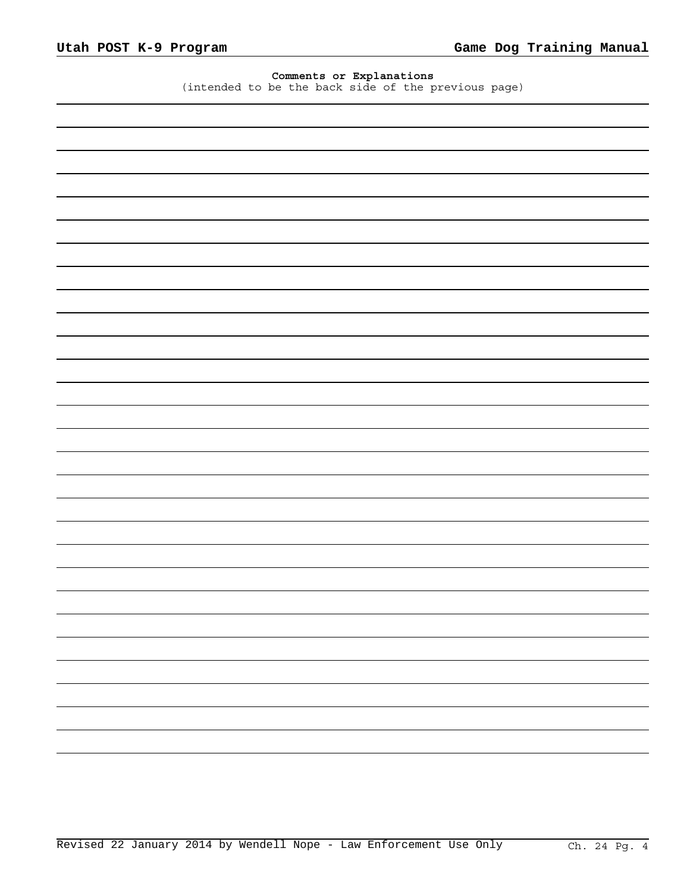## **Comments or Explanations**

(intended to be the back side of the previous page)